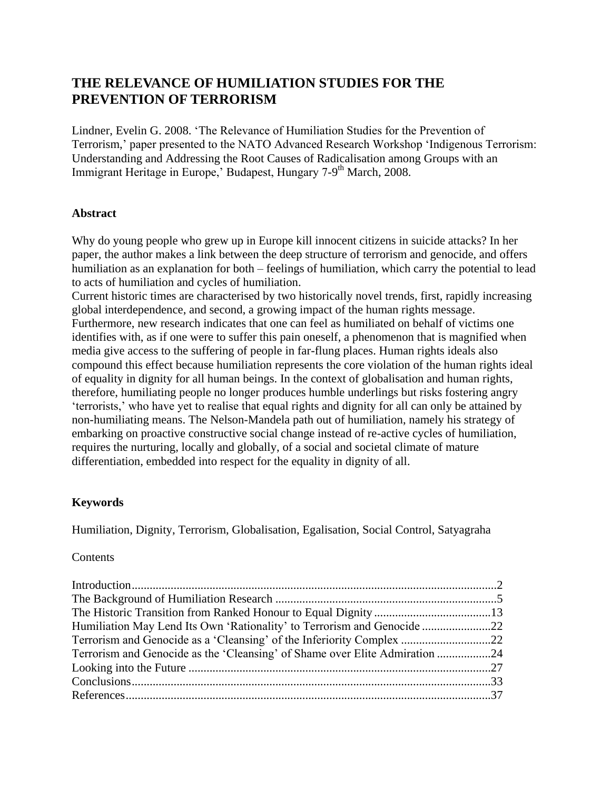# **THE RELEVANCE OF HUMILIATION STUDIES FOR THE PREVENTION OF TERRORISM**

Lindner, Evelin G. 2008. 'The Relevance of Humiliation Studies for the Prevention of Terrorism,' paper presented to the NATO Advanced Research Workshop 'Indigenous Terrorism: Understanding and Addressing the Root Causes of Radicalisation among Groups with an Immigrant Heritage in Europe,' Budapest, Hungary 7-9<sup>th</sup> March, 2008.

## **Abstract**

Why do young people who grew up in Europe kill innocent citizens in suicide attacks? In her paper, the author makes a link between the deep structure of terrorism and genocide, and offers humiliation as an explanation for both – feelings of humiliation, which carry the potential to lead to acts of humiliation and cycles of humiliation.

Current historic times are characterised by two historically novel trends, first, rapidly increasing global interdependence, and second, a growing impact of the human rights message. Furthermore, new research indicates that one can feel as humiliated on behalf of victims one identifies with, as if one were to suffer this pain oneself, a phenomenon that is magnified when media give access to the suffering of people in far-flung places. Human rights ideals also compound this effect because humiliation represents the core violation of the human rights ideal of equality in dignity for all human beings. In the context of globalisation and human rights, therefore, humiliating people no longer produces humble underlings but risks fostering angry 'terrorists,' who have yet to realise that equal rights and dignity for all can only be attained by non-humiliating means. The Nelson-Mandela path out of humiliation, namely his strategy of embarking on proactive constructive social change instead of re-active cycles of humiliation, requires the nurturing, locally and globally, of a social and societal climate of mature differentiation, embedded into respect for the equality in dignity of all.

# **Keywords**

Humiliation, Dignity, Terrorism, Globalisation, Egalisation, Social Control, Satyagraha

## **Contents**

| Humiliation May Lend Its Own 'Rationality' to Terrorism and Genocide        |  |
|-----------------------------------------------------------------------------|--|
|                                                                             |  |
| Terrorism and Genocide as the 'Cleansing' of Shame over Elite Admiration 24 |  |
|                                                                             |  |
|                                                                             |  |
|                                                                             |  |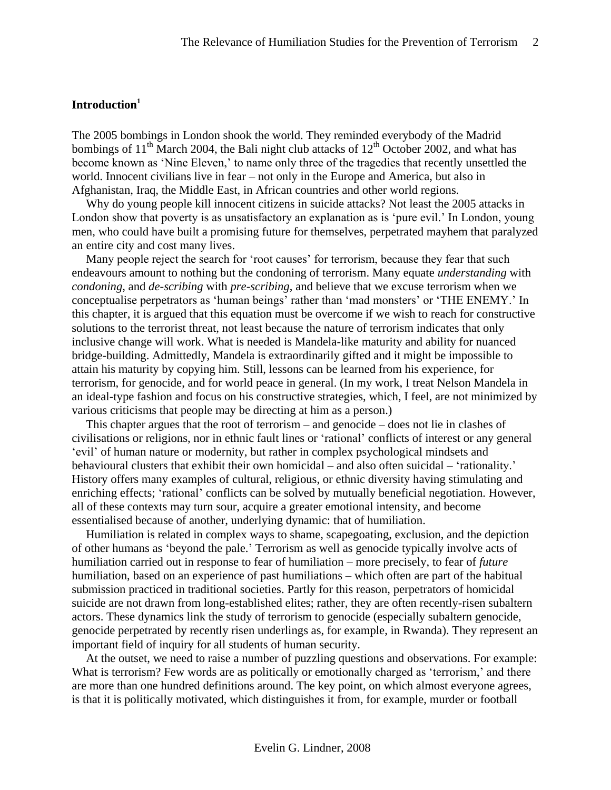## <span id="page-1-0"></span>**Introduction<sup>1</sup>**

The 2005 bombings in London shook the world. They reminded everybody of the Madrid bombings of 11<sup>th</sup> March 2004, the Bali night club attacks of 12<sup>th</sup> October 2002, and what has become known as 'Nine Eleven,' to name only three of the tragedies that recently unsettled the world. Innocent civilians live in fear – not only in the Europe and America, but also in Afghanistan, Iraq, the Middle East, in African countries and other world regions.

Why do young people kill innocent citizens in suicide attacks? Not least the 2005 attacks in London show that poverty is as unsatisfactory an explanation as is 'pure evil.' In London, young men, who could have built a promising future for themselves, perpetrated mayhem that paralyzed an entire city and cost many lives.

Many people reject the search for 'root causes' for terrorism, because they fear that such endeavours amount to nothing but the condoning of terrorism. Many equate *understanding* with *condoning*, and *de-scribing* with *pre-scribing*, and believe that we excuse terrorism when we conceptualise perpetrators as 'human beings' rather than 'mad monsters' or 'THE ENEMY.' In this chapter, it is argued that this equation must be overcome if we wish to reach for constructive solutions to the terrorist threat, not least because the nature of terrorism indicates that only inclusive change will work. What is needed is Mandela-like maturity and ability for nuanced bridge-building. Admittedly, Mandela is extraordinarily gifted and it might be impossible to attain his maturity by copying him. Still, lessons can be learned from his experience, for terrorism, for genocide, and for world peace in general. (In my work, I treat Nelson Mandela in an ideal-type fashion and focus on his constructive strategies, which, I feel, are not minimized by various criticisms that people may be directing at him as a person.)

This chapter argues that the root of terrorism – and genocide – does not lie in clashes of civilisations or religions, nor in ethnic fault lines or 'rational' conflicts of interest or any general 'evil' of human nature or modernity, but rather in complex psychological mindsets and behavioural clusters that exhibit their own homicidal – and also often suicidal – 'rationality.' History offers many examples of cultural, religious, or ethnic diversity having stimulating and enriching effects; 'rational' conflicts can be solved by mutually beneficial negotiation. However, all of these contexts may turn sour, acquire a greater emotional intensity, and become essentialised because of another, underlying dynamic: that of humiliation.

Humiliation is related in complex ways to shame, scapegoating, exclusion, and the depiction of other humans as 'beyond the pale.' Terrorism as well as genocide typically involve acts of humiliation carried out in response to fear of humiliation – more precisely, to fear of *future* humiliation, based on an experience of past humiliations – which often are part of the habitual submission practiced in traditional societies. Partly for this reason, perpetrators of homicidal suicide are not drawn from long-established elites; rather, they are often recently-risen subaltern actors. These dynamics link the study of terrorism to genocide (especially subaltern genocide, genocide perpetrated by recently risen underlings as, for example, in Rwanda). They represent an important field of inquiry for all students of human security.

At the outset, we need to raise a number of puzzling questions and observations. For example: What is terrorism? Few words are as politically or emotionally charged as 'terrorism,' and there are more than one hundred definitions around. The key point, on which almost everyone agrees, is that it is politically motivated, which distinguishes it from, for example, murder or football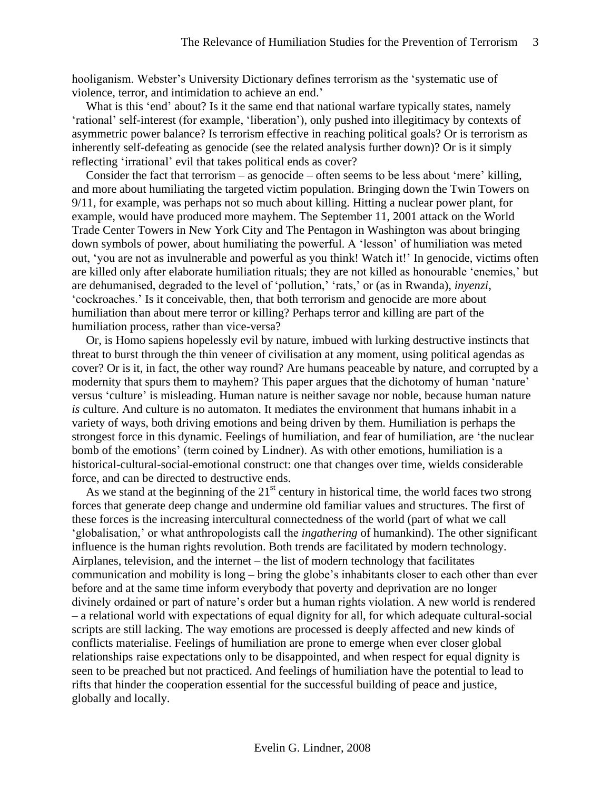hooliganism. Webster's University Dictionary defines terrorism as the 'systematic use of violence, terror, and intimidation to achieve an end.'

What is this 'end' about? Is it the same end that national warfare typically states, namely 'rational' self-interest (for example, 'liberation'), only pushed into illegitimacy by contexts of asymmetric power balance? Is terrorism effective in reaching political goals? Or is terrorism as inherently self-defeating as genocide (see the related analysis further down)? Or is it simply reflecting 'irrational' evil that takes political ends as cover?

Consider the fact that terrorism – as genocide – often seems to be less about 'mere' killing, and more about humiliating the targeted victim population. Bringing down the Twin Towers on 9/11, for example, was perhaps not so much about killing. Hitting a nuclear power plant, for example, would have produced more mayhem. The September 11, 2001 attack on the World Trade Center Towers in New York City and The Pentagon in Washington was about bringing down symbols of power, about humiliating the powerful. A 'lesson' of humiliation was meted out, 'you are not as invulnerable and powerful as you think! Watch it!' In genocide, victims often are killed only after elaborate humiliation rituals; they are not killed as honourable 'enemies,' but are dehumanised, degraded to the level of 'pollution,' 'rats,' or (as in Rwanda), *inyenzi*, 'cockroaches.' Is it conceivable, then, that both terrorism and genocide are more about humiliation than about mere terror or killing? Perhaps terror and killing are part of the humiliation process, rather than vice-versa?

Or, is Homo sapiens hopelessly evil by nature, imbued with lurking destructive instincts that threat to burst through the thin veneer of civilisation at any moment, using political agendas as cover? Or is it, in fact, the other way round? Are humans peaceable by nature, and corrupted by a modernity that spurs them to mayhem? This paper argues that the dichotomy of human 'nature' versus 'culture' is misleading. Human nature is neither savage nor noble, because human nature *is* culture. And culture is no automaton. It mediates the environment that humans inhabit in a variety of ways, both driving emotions and being driven by them. Humiliation is perhaps the strongest force in this dynamic. Feelings of humiliation, and fear of humiliation, are 'the nuclear bomb of the emotions' (term coined by Lindner). As with other emotions, humiliation is a historical-cultural-social-emotional construct: one that changes over time, wields considerable force, and can be directed to destructive ends.

As we stand at the beginning of the  $21<sup>st</sup>$  century in historical time, the world faces two strong forces that generate deep change and undermine old familiar values and structures. The first of these forces is the increasing intercultural connectedness of the world (part of what we call 'globalisation,' or what anthropologists call the *ingathering* of humankind). The other significant influence is the human rights revolution. Both trends are facilitated by modern technology. Airplanes, television, and the internet – the list of modern technology that facilitates communication and mobility is long – bring the globe's inhabitants closer to each other than ever before and at the same time inform everybody that poverty and deprivation are no longer divinely ordained or part of nature's order but a human rights violation. A new world is rendered – a relational world with expectations of equal dignity for all, for which adequate cultural-social scripts are still lacking. The way emotions are processed is deeply affected and new kinds of conflicts materialise. Feelings of humiliation are prone to emerge when ever closer global relationships raise expectations only to be disappointed, and when respect for equal dignity is seen to be preached but not practiced. And feelings of humiliation have the potential to lead to rifts that hinder the cooperation essential for the successful building of peace and justice, globally and locally.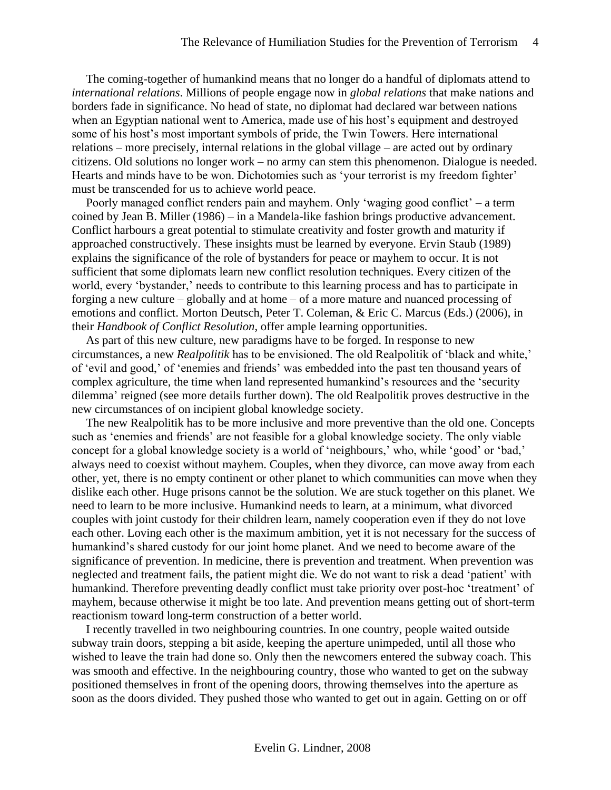The coming-together of humankind means that no longer do a handful of diplomats attend to *international relations*. Millions of people engage now in *global relations* that make nations and borders fade in significance. No head of state, no diplomat had declared war between nations when an Egyptian national went to America, made use of his host's equipment and destroyed some of his host's most important symbols of pride, the Twin Towers. Here international relations – more precisely, internal relations in the global village – are acted out by ordinary citizens. Old solutions no longer work – no army can stem this phenomenon. Dialogue is needed. Hearts and minds have to be won. Dichotomies such as 'your terrorist is my freedom fighter' must be transcended for us to achieve world peace.

Poorly managed conflict renders pain and mayhem. Only 'waging good conflict' – a term coined by Jean B. Miller (1986) – in a Mandela-like fashion brings productive advancement. Conflict harbours a great potential to stimulate creativity and foster growth and maturity if approached constructively. These insights must be learned by everyone. Ervin Staub (1989) explains the significance of the role of bystanders for peace or mayhem to occur. It is not sufficient that some diplomats learn new conflict resolution techniques. Every citizen of the world, every 'bystander,' needs to contribute to this learning process and has to participate in forging a new culture – globally and at home – of a more mature and nuanced processing of emotions and conflict. Morton Deutsch, Peter T. Coleman, & Eric C. Marcus (Eds.) (2006), in their *Handbook of Conflict Resolution*, offer ample learning opportunities.

As part of this new culture, new paradigms have to be forged. In response to new circumstances, a new *Realpolitik* has to be envisioned. The old Realpolitik of 'black and white,' of 'evil and good,' of 'enemies and friends' was embedded into the past ten thousand years of complex agriculture, the time when land represented humankind's resources and the 'security dilemma' reigned (see more details further down). The old Realpolitik proves destructive in the new circumstances of on incipient global knowledge society.

The new Realpolitik has to be more inclusive and more preventive than the old one. Concepts such as 'enemies and friends' are not feasible for a global knowledge society. The only viable concept for a global knowledge society is a world of 'neighbours,' who, while 'good' or 'bad,' always need to coexist without mayhem. Couples, when they divorce, can move away from each other, yet, there is no empty continent or other planet to which communities can move when they dislike each other. Huge prisons cannot be the solution. We are stuck together on this planet. We need to learn to be more inclusive. Humankind needs to learn, at a minimum, what divorced couples with joint custody for their children learn, namely cooperation even if they do not love each other. Loving each other is the maximum ambition, yet it is not necessary for the success of humankind's shared custody for our joint home planet. And we need to become aware of the significance of prevention. In medicine, there is prevention and treatment. When prevention was neglected and treatment fails, the patient might die. We do not want to risk a dead 'patient' with humankind. Therefore preventing deadly conflict must take priority over post-hoc 'treatment' of mayhem, because otherwise it might be too late. And prevention means getting out of short-term reactionism toward long-term construction of a better world.

I recently travelled in two neighbouring countries. In one country, people waited outside subway train doors, stepping a bit aside, keeping the aperture unimpeded, until all those who wished to leave the train had done so. Only then the newcomers entered the subway coach. This was smooth and effective. In the neighbouring country, those who wanted to get on the subway positioned themselves in front of the opening doors, throwing themselves into the aperture as soon as the doors divided. They pushed those who wanted to get out in again. Getting on or off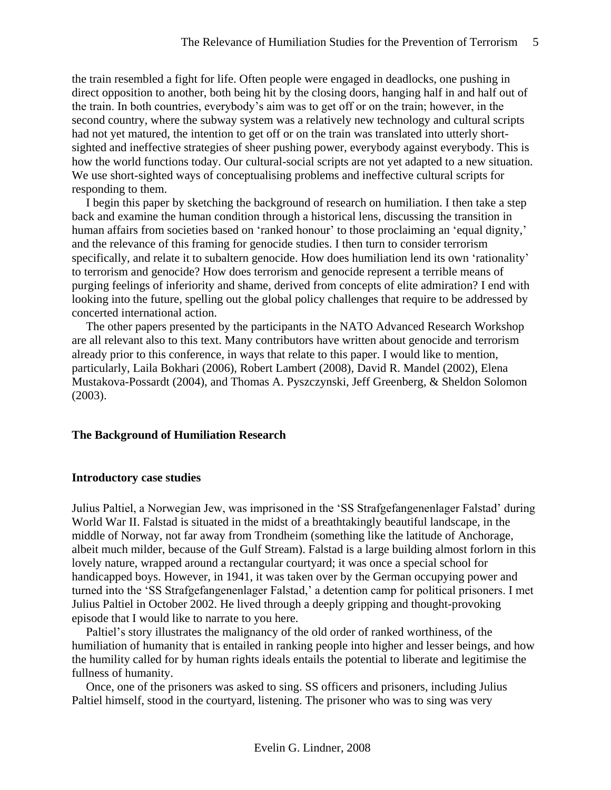the train resembled a fight for life. Often people were engaged in deadlocks, one pushing in direct opposition to another, both being hit by the closing doors, hanging half in and half out of the train. In both countries, everybody's aim was to get off or on the train; however, in the second country, where the subway system was a relatively new technology and cultural scripts had not yet matured, the intention to get off or on the train was translated into utterly shortsighted and ineffective strategies of sheer pushing power, everybody against everybody. This is how the world functions today. Our cultural-social scripts are not yet adapted to a new situation. We use short-sighted ways of conceptualising problems and ineffective cultural scripts for responding to them.

I begin this paper by sketching the background of research on humiliation. I then take a step back and examine the human condition through a historical lens, discussing the transition in human affairs from societies based on 'ranked honour' to those proclaiming an 'equal dignity,' and the relevance of this framing for genocide studies. I then turn to consider terrorism specifically, and relate it to subaltern genocide. How does humiliation lend its own 'rationality' to terrorism and genocide? How does terrorism and genocide represent a terrible means of purging feelings of inferiority and shame, derived from concepts of elite admiration? I end with looking into the future, spelling out the global policy challenges that require to be addressed by concerted international action.

The other papers presented by the participants in the NATO Advanced Research Workshop are all relevant also to this text. Many contributors have written about genocide and terrorism already prior to this conference, in ways that relate to this paper. I would like to mention, particularly, Laila Bokhari (2006), Robert Lambert (2008), David R. Mandel (2002), Elena Mustakova-Possardt (2004), and Thomas A. Pyszczynski, Jeff Greenberg, & Sheldon Solomon (2003).

## <span id="page-4-0"></span>**The Background of Humiliation Research**

#### **Introductory case studies**

Julius Paltiel, a Norwegian Jew, was imprisoned in the 'SS Strafgefangenenlager Falstad' during World War II. Falstad is situated in the midst of a breathtakingly beautiful landscape, in the middle of Norway, not far away from Trondheim (something like the latitude of Anchorage, albeit much milder, because of the Gulf Stream). Falstad is a large building almost forlorn in this lovely nature, wrapped around a rectangular courtyard; it was once a special school for handicapped boys. However, in 1941, it was taken over by the German occupying power and turned into the 'SS Strafgefangenenlager Falstad,' a detention camp for political prisoners. I met Julius Paltiel in October 2002. He lived through a deeply gripping and thought-provoking episode that I would like to narrate to you here.

Paltiel's story illustrates the malignancy of the old order of ranked worthiness, of the humiliation of humanity that is entailed in ranking people into higher and lesser beings, and how the humility called for by human rights ideals entails the potential to liberate and legitimise the fullness of humanity.

Once, one of the prisoners was asked to sing. SS officers and prisoners, including Julius Paltiel himself, stood in the courtyard, listening. The prisoner who was to sing was very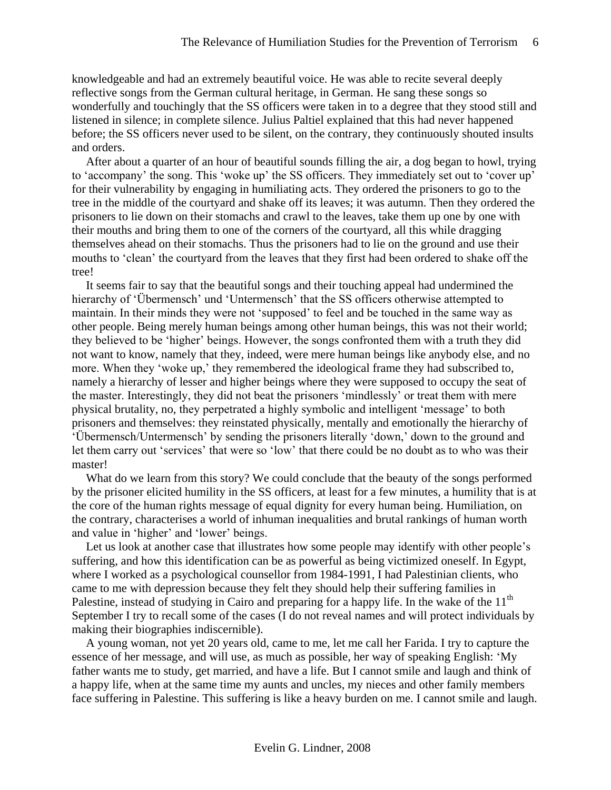knowledgeable and had an extremely beautiful voice. He was able to recite several deeply reflective songs from the German cultural heritage, in German. He sang these songs so wonderfully and touchingly that the SS officers were taken in to a degree that they stood still and listened in silence; in complete silence. Julius Paltiel explained that this had never happened before; the SS officers never used to be silent, on the contrary, they continuously shouted insults and orders.

After about a quarter of an hour of beautiful sounds filling the air, a dog began to howl, trying to 'accompany' the song. This 'woke up' the SS officers. They immediately set out to 'cover up' for their vulnerability by engaging in humiliating acts. They ordered the prisoners to go to the tree in the middle of the courtyard and shake off its leaves; it was autumn. Then they ordered the prisoners to lie down on their stomachs and crawl to the leaves, take them up one by one with their mouths and bring them to one of the corners of the courtyard, all this while dragging themselves ahead on their stomachs. Thus the prisoners had to lie on the ground and use their mouths to 'clean' the courtyard from the leaves that they first had been ordered to shake off the tree!

It seems fair to say that the beautiful songs and their touching appeal had undermined the hierarchy of 'Übermensch' und 'Untermensch' that the SS officers otherwise attempted to maintain. In their minds they were not 'supposed' to feel and be touched in the same way as other people. Being merely human beings among other human beings, this was not their world; they believed to be 'higher' beings. However, the songs confronted them with a truth they did not want to know, namely that they, indeed, were mere human beings like anybody else, and no more. When they 'woke up,' they remembered the ideological frame they had subscribed to, namely a hierarchy of lesser and higher beings where they were supposed to occupy the seat of the master. Interestingly, they did not beat the prisoners 'mindlessly' or treat them with mere physical brutality, no, they perpetrated a highly symbolic and intelligent 'message' to both prisoners and themselves: they reinstated physically, mentally and emotionally the hierarchy of 'Übermensch/Untermensch' by sending the prisoners literally 'down,' down to the ground and let them carry out 'services' that were so 'low' that there could be no doubt as to who was their master!

What do we learn from this story? We could conclude that the beauty of the songs performed by the prisoner elicited humility in the SS officers, at least for a few minutes, a humility that is at the core of the human rights message of equal dignity for every human being. Humiliation, on the contrary, characterises a world of inhuman inequalities and brutal rankings of human worth and value in 'higher' and 'lower' beings.

Let us look at another case that illustrates how some people may identify with other people's suffering, and how this identification can be as powerful as being victimized oneself. In Egypt, where I worked as a psychological counsellor from 1984-1991, I had Palestinian clients, who came to me with depression because they felt they should help their suffering families in Palestine, instead of studying in Cairo and preparing for a happy life. In the wake of the  $11<sup>th</sup>$ September I try to recall some of the cases (I do not reveal names and will protect individuals by making their biographies indiscernible).

A young woman, not yet 20 years old, came to me, let me call her Farida. I try to capture the essence of her message, and will use, as much as possible, her way of speaking English: 'My father wants me to study, get married, and have a life. But I cannot smile and laugh and think of a happy life, when at the same time my aunts and uncles, my nieces and other family members face suffering in Palestine. This suffering is like a heavy burden on me. I cannot smile and laugh.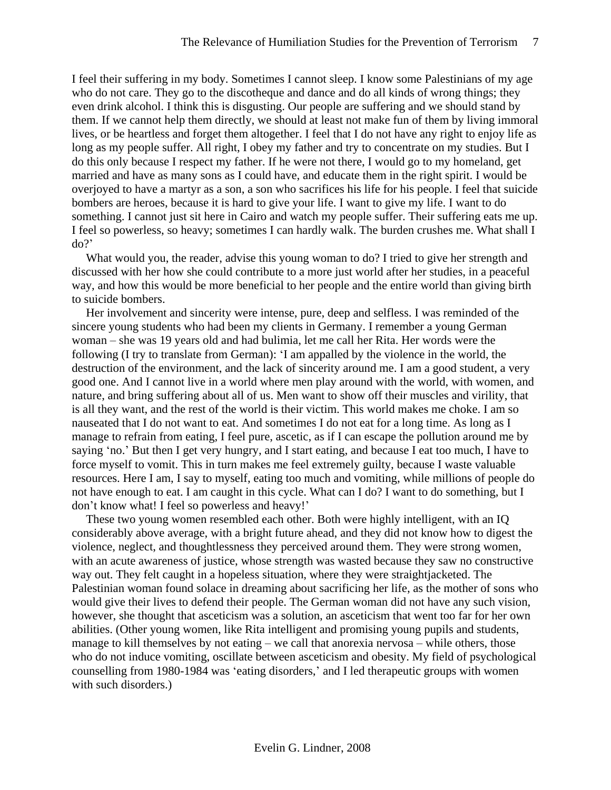I feel their suffering in my body. Sometimes I cannot sleep. I know some Palestinians of my age who do not care. They go to the discotheque and dance and do all kinds of wrong things; they even drink alcohol. I think this is disgusting. Our people are suffering and we should stand by them. If we cannot help them directly, we should at least not make fun of them by living immoral lives, or be heartless and forget them altogether. I feel that I do not have any right to enjoy life as long as my people suffer. All right, I obey my father and try to concentrate on my studies. But I do this only because I respect my father. If he were not there, I would go to my homeland, get married and have as many sons as I could have, and educate them in the right spirit. I would be overjoyed to have a martyr as a son, a son who sacrifices his life for his people. I feel that suicide bombers are heroes, because it is hard to give your life. I want to give my life. I want to do something. I cannot just sit here in Cairo and watch my people suffer. Their suffering eats me up. I feel so powerless, so heavy; sometimes I can hardly walk. The burden crushes me. What shall I do?'

What would you, the reader, advise this young woman to do? I tried to give her strength and discussed with her how she could contribute to a more just world after her studies, in a peaceful way, and how this would be more beneficial to her people and the entire world than giving birth to suicide bombers.

Her involvement and sincerity were intense, pure, deep and selfless. I was reminded of the sincere young students who had been my clients in Germany. I remember a young German woman – she was 19 years old and had bulimia, let me call her Rita. Her words were the following (I try to translate from German): 'I am appalled by the violence in the world, the destruction of the environment, and the lack of sincerity around me. I am a good student, a very good one. And I cannot live in a world where men play around with the world, with women, and nature, and bring suffering about all of us. Men want to show off their muscles and virility, that is all they want, and the rest of the world is their victim. This world makes me choke. I am so nauseated that I do not want to eat. And sometimes I do not eat for a long time. As long as I manage to refrain from eating, I feel pure, ascetic, as if I can escape the pollution around me by saying 'no.' But then I get very hungry, and I start eating, and because I eat too much, I have to force myself to vomit. This in turn makes me feel extremely guilty, because I waste valuable resources. Here I am, I say to myself, eating too much and vomiting, while millions of people do not have enough to eat. I am caught in this cycle. What can I do? I want to do something, but I don't know what! I feel so powerless and heavy!'

These two young women resembled each other. Both were highly intelligent, with an IQ considerably above average, with a bright future ahead, and they did not know how to digest the violence, neglect, and thoughtlessness they perceived around them. They were strong women, with an acute awareness of justice, whose strength was wasted because they saw no constructive way out. They felt caught in a hopeless situation, where they were straightjacketed. The Palestinian woman found solace in dreaming about sacrificing her life, as the mother of sons who would give their lives to defend their people. The German woman did not have any such vision, however, she thought that asceticism was a solution, an asceticism that went too far for her own abilities. (Other young women, like Rita intelligent and promising young pupils and students, manage to kill themselves by not eating – we call that anorexia nervosa – while others, those who do not induce vomiting, oscillate between asceticism and obesity. My field of psychological counselling from 1980-1984 was 'eating disorders,' and I led therapeutic groups with women with such disorders.)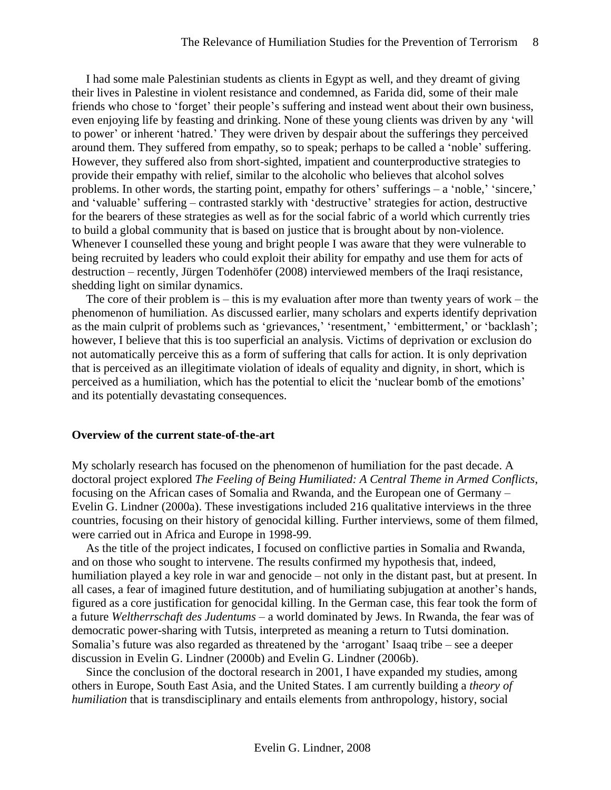I had some male Palestinian students as clients in Egypt as well, and they dreamt of giving their lives in Palestine in violent resistance and condemned, as Farida did, some of their male friends who chose to 'forget' their people's suffering and instead went about their own business, even enjoying life by feasting and drinking. None of these young clients was driven by any 'will to power' or inherent 'hatred.' They were driven by despair about the sufferings they perceived around them. They suffered from empathy, so to speak; perhaps to be called a 'noble' suffering. However, they suffered also from short-sighted, impatient and counterproductive strategies to provide their empathy with relief, similar to the alcoholic who believes that alcohol solves problems. In other words, the starting point, empathy for others' sufferings – a 'noble,' 'sincere,' and 'valuable' suffering – contrasted starkly with 'destructive' strategies for action, destructive for the bearers of these strategies as well as for the social fabric of a world which currently tries to build a global community that is based on justice that is brought about by non-violence. Whenever I counselled these young and bright people I was aware that they were vulnerable to being recruited by leaders who could exploit their ability for empathy and use them for acts of destruction – recently, Jürgen Todenhöfer (2008) interviewed members of the Iraqi resistance, shedding light on similar dynamics.

The core of their problem is  $-$  this is my evaluation after more than twenty years of work  $-$  the phenomenon of humiliation. As discussed earlier, many scholars and experts identify deprivation as the main culprit of problems such as 'grievances,' 'resentment,' 'embitterment,' or 'backlash'; however, I believe that this is too superficial an analysis. Victims of deprivation or exclusion do not automatically perceive this as a form of suffering that calls for action. It is only deprivation that is perceived as an illegitimate violation of ideals of equality and dignity, in short, which is perceived as a humiliation, which has the potential to elicit the 'nuclear bomb of the emotions' and its potentially devastating consequences.

#### **Overview of the current state-of-the-art**

My scholarly research has focused on the phenomenon of humiliation for the past decade. A doctoral project explored *The Feeling of Being Humiliated: A Central Theme in Armed Conflicts*, focusing on the African cases of Somalia and Rwanda, and the European one of Germany – Evelin G. Lindner (2000a). These investigations included 216 qualitative interviews in the three countries, focusing on their history of genocidal killing. Further interviews, some of them filmed, were carried out in Africa and Europe in 1998-99.

As the title of the project indicates, I focused on conflictive parties in Somalia and Rwanda, and on those who sought to intervene. The results confirmed my hypothesis that, indeed, humiliation played a key role in war and genocide – not only in the distant past, but at present. In all cases, a fear of imagined future destitution, and of humiliating subjugation at another's hands, figured as a core justification for genocidal killing. In the German case, this fear took the form of a future *Weltherrschaft des Judentums* – a world dominated by Jews. In Rwanda, the fear was of democratic power-sharing with Tutsis, interpreted as meaning a return to Tutsi domination. Somalia's future was also regarded as threatened by the 'arrogant' Isaaq tribe – see a deeper discussion in Evelin G. Lindner (2000b) and Evelin G. Lindner (2006b).

Since the conclusion of the doctoral research in 2001, I have expanded my studies, among others in Europe, South East Asia, and the United States. I am currently building a *theory of humiliation* that is transdisciplinary and entails elements from anthropology, history, social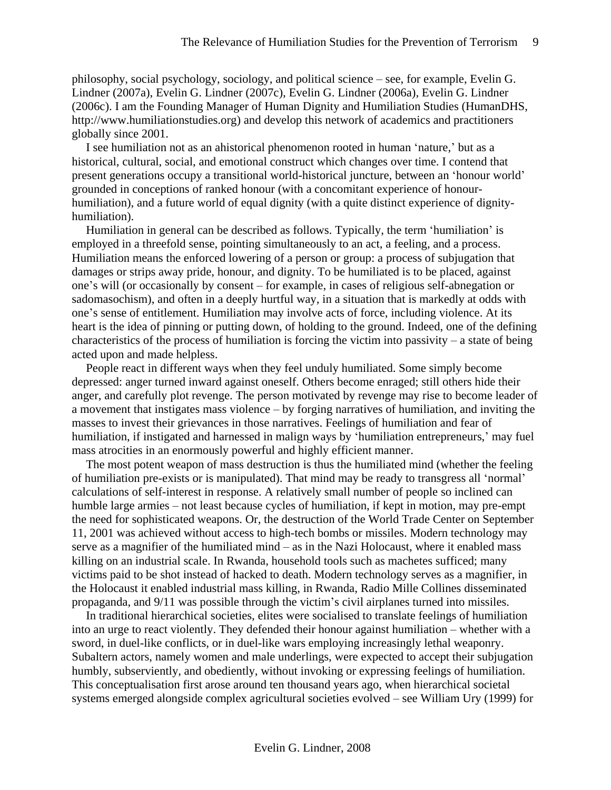philosophy, social psychology, sociology, and political science – see, for example, Evelin G. Lindner (2007a), Evelin G. Lindner (2007c), Evelin G. Lindner (2006a), Evelin G. Lindner (2006c). I am the Founding Manager of Human Dignity and Humiliation Studies (HumanDHS, [http://www.humiliationstudies.org\)](http://www.humiliationstudies.org/) and develop this network of academics and practitioners globally since 2001.

I see humiliation not as an ahistorical phenomenon rooted in human 'nature,' but as a historical, cultural, social, and emotional construct which changes over time. I contend that present generations occupy a transitional world-historical juncture, between an 'honour world' grounded in conceptions of ranked honour (with a concomitant experience of honourhumiliation), and a future world of equal dignity (with a quite distinct experience of dignityhumiliation).

Humiliation in general can be described as follows. Typically, the term 'humiliation' is employed in a threefold sense, pointing simultaneously to an act, a feeling, and a process. Humiliation means the enforced lowering of a person or group: a process of subjugation that damages or strips away pride, honour, and dignity. To be humiliated is to be placed, against one's will (or occasionally by consent – for example, in cases of religious self-abnegation or sadomasochism), and often in a deeply hurtful way, in a situation that is markedly at odds with one's sense of entitlement. Humiliation may involve acts of force, including violence. At its heart is the idea of pinning or putting down, of holding to the ground. Indeed, one of the defining characteristics of the process of humiliation is forcing the victim into passivity – a state of being acted upon and made helpless.

People react in different ways when they feel unduly humiliated. Some simply become depressed: anger turned inward against oneself. Others become enraged; still others hide their anger, and carefully plot revenge. The person motivated by revenge may rise to become leader of a movement that instigates mass violence – by forging narratives of humiliation, and inviting the masses to invest their grievances in those narratives. Feelings of humiliation and fear of humiliation, if instigated and harnessed in malign ways by 'humiliation entrepreneurs,' may fuel mass atrocities in an enormously powerful and highly efficient manner.

The most potent weapon of mass destruction is thus the humiliated mind (whether the feeling of humiliation pre-exists or is manipulated). That mind may be ready to transgress all 'normal' calculations of self-interest in response. A relatively small number of people so inclined can humble large armies – not least because cycles of humiliation, if kept in motion, may pre-empt the need for sophisticated weapons. Or, the destruction of the World Trade Center on September 11, 2001 was achieved without access to high-tech bombs or missiles. Modern technology may serve as a magnifier of the humiliated mind – as in the Nazi Holocaust, where it enabled mass killing on an industrial scale. In Rwanda, household tools such as machetes sufficed; many victims paid to be shot instead of hacked to death. Modern technology serves as a magnifier, in the Holocaust it enabled industrial mass killing, in Rwanda, Radio Mille Collines disseminated propaganda, and 9/11 was possible through the victim's civil airplanes turned into missiles.

In traditional hierarchical societies, elites were socialised to translate feelings of humiliation into an urge to react violently. They defended their honour against humiliation – whether with a sword, in duel-like conflicts, or in duel-like wars employing increasingly lethal weaponry. Subaltern actors, namely women and male underlings, were expected to accept their subjugation humbly, subserviently, and obediently, without invoking or expressing feelings of humiliation. This conceptualisation first arose around ten thousand years ago, when hierarchical societal systems emerged alongside complex agricultural societies evolved – see William Ury (1999) for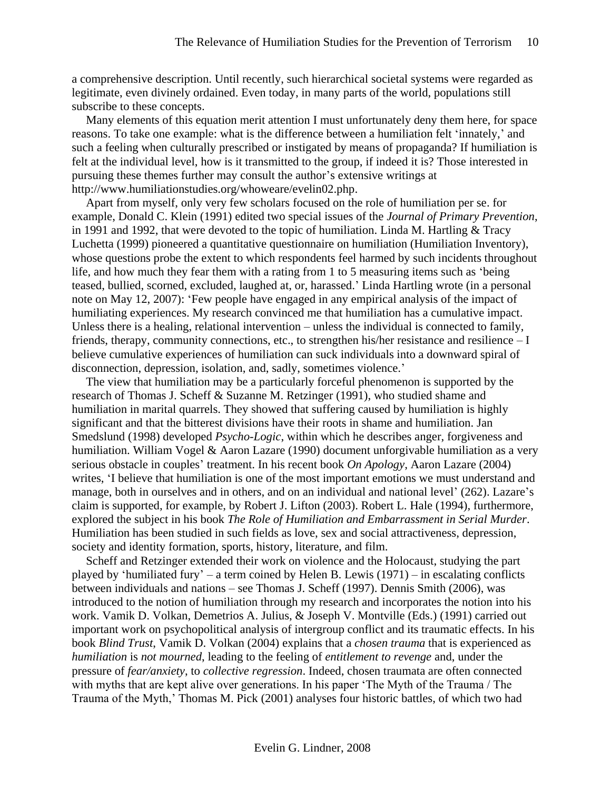a comprehensive description. Until recently, such hierarchical societal systems were regarded as legitimate, even divinely ordained. Even today, in many parts of the world, populations still subscribe to these concepts.

Many elements of this equation merit attention I must unfortunately deny them here, for space reasons. To take one example: what is the difference between a humiliation felt 'innately,' and such a feeling when culturally prescribed or instigated by means of propaganda? If humiliation is felt at the individual level, how is it transmitted to the group, if indeed it is? Those interested in pursuing these themes further may consult the author's extensive writings at [http://www.humiliationstudies.org/whoweare/evelin02.php.](http://www.humiliationstudies.org/whoweare/evelin02.php)

Apart from myself, only very few scholars focused on the role of humiliation per se. for example, Donald C. Klein (1991) edited two special issues of the *Journal of Primary Prevention*, in 1991 and 1992, that were devoted to the topic of humiliation. Linda M. Hartling & Tracy Luchetta (1999) pioneered a quantitative questionnaire on humiliation (Humiliation Inventory), whose questions probe the extent to which respondents feel harmed by such incidents throughout life, and how much they fear them with a rating from 1 to 5 measuring items such as 'being teased, bullied, scorned, excluded, laughed at, or, harassed.' Linda Hartling wrote (in a personal note on May 12, 2007): 'Few people have engaged in any empirical analysis of the impact of humiliating experiences. My research convinced me that humiliation has a cumulative impact. Unless there is a healing, relational intervention – unless the individual is connected to family, friends, therapy, community connections, etc., to strengthen his/her resistance and resilience – I believe cumulative experiences of humiliation can suck individuals into a downward spiral of disconnection, depression, isolation, and, sadly, sometimes violence.'

The view that humiliation may be a particularly forceful phenomenon is supported by the research of Thomas J. Scheff & Suzanne M. Retzinger (1991), who studied shame and humiliation in marital quarrels. They showed that suffering caused by humiliation is highly significant and that the bitterest divisions have their roots in shame and humiliation. Jan Smedslund (1998) developed *Psycho-Logic*, within which he describes anger, forgiveness and humiliation. William Vogel & Aaron Lazare (1990) document unforgivable humiliation as a very serious obstacle in couples' treatment. In his recent book *On Apology*, Aaron Lazare (2004) writes, 'I believe that humiliation is one of the most important emotions we must understand and manage, both in ourselves and in others, and on an individual and national level' (262). Lazare's claim is supported, for example, by Robert J. Lifton (2003). Robert L. Hale (1994), furthermore, explored the subject in his book *The Role of Humiliation and Embarrassment in Serial Murder*. Humiliation has been studied in such fields as love, sex and social attractiveness, depression, society and identity formation, sports, history, literature, and film.

Scheff and Retzinger extended their work on violence and the Holocaust, studying the part played by 'humiliated fury' – a term coined by Helen B. Lewis (1971) – in escalating conflicts between individuals and nations – see Thomas J. Scheff (1997). Dennis Smith (2006), was introduced to the notion of humiliation through my research and incorporates the notion into his work. Vamik D. Volkan, Demetrios A. Julius, & Joseph V. Montville (Eds.) (1991) carried out important work on psychopolitical analysis of intergroup conflict and its traumatic effects. In his book *Blind Trust*, Vamik D. Volkan (2004) explains that a *chosen trauma* that is experienced as *humiliation* is *not mourned*, leading to the feeling of *entitlement to revenge* and, under the pressure of *fear/anxiety*, to *collective regression*. Indeed, chosen traumata are often connected with myths that are kept alive over generations. In his paper 'The Myth of the Trauma / The Trauma of the Myth,' Thomas M. Pick (2001) analyses four historic battles, of which two had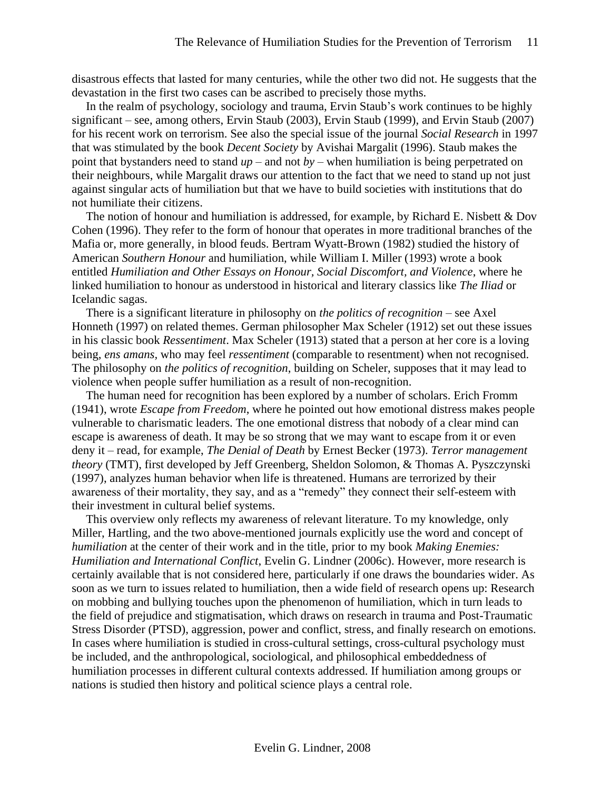disastrous effects that lasted for many centuries, while the other two did not. He suggests that the devastation in the first two cases can be ascribed to precisely those myths.

In the realm of psychology, sociology and trauma, Ervin Staub's work continues to be highly significant – see, among others, Ervin Staub (2003), Ervin Staub (1999), and Ervin Staub (2007) for his recent work on terrorism. See also the special issue of the journal *Social Research* in 1997 that was stimulated by the book *Decent Society* by Avishai Margalit (1996). Staub makes the point that bystanders need to stand *up* – and not *by* – when humiliation is being perpetrated on their neighbours, while Margalit draws our attention to the fact that we need to stand up not just against singular acts of humiliation but that we have to build societies with institutions that do not humiliate their citizens.

The notion of honour and humiliation is addressed, for example, by Richard E. Nisbett & Dov Cohen (1996). They refer to the form of honour that operates in more traditional branches of the Mafia or, more generally, in blood feuds. Bertram Wyatt-Brown (1982) studied the history of American *Southern Honour* and humiliation, while William I. Miller (1993) wrote a book entitled *Humiliation and Other Essays on Honour, Social Discomfort, and Violence*, where he linked humiliation to honour as understood in historical and literary classics like *The Iliad* or Icelandic sagas.

There is a significant literature in philosophy on *the politics of recognition* – see Axel Honneth (1997) on related themes. German philosopher Max Scheler (1912) set out these issues in his classic book *Ressentiment*. Max Scheler (1913) stated that a person at her core is a loving being, *ens amans,* who may feel *ressentiment* (comparable to resentment) when not recognised. The philosophy on *the politics of recognition*, building on Scheler, supposes that it may lead to violence when people suffer humiliation as a result of non-recognition.

The human need for recognition has been explored by a number of scholars. Erich Fromm (1941), wrote *Escape from Freedom*, where he pointed out how emotional distress makes people vulnerable to charismatic leaders. The one emotional distress that nobody of a clear mind can escape is awareness of death. It may be so strong that we may want to escape from it or even deny it – read, for example, *The Denial of Death* by Ernest Becker (1973). *Terror management theory* (TMT), first developed by Jeff Greenberg, Sheldon Solomon, & Thomas A. Pyszczynski (1997), analyzes human behavior when life is threatened. Humans are terrorized by their awareness of their mortality, they say, and as a "remedy" they connect their self-esteem with their investment in cultural belief systems.

This overview only reflects my awareness of relevant literature. To my knowledge, only Miller, Hartling, and the two above-mentioned journals explicitly use the word and concept of *humiliation* at the center of their work and in the title, prior to my book *Making Enemies: Humiliation and International Conflict*, Evelin G. Lindner (2006c). However, more research is certainly available that is not considered here, particularly if one draws the boundaries wider. As soon as we turn to issues related to humiliation, then a wide field of research opens up: Research on mobbing and bullying touches upon the phenomenon of humiliation, which in turn leads to the field of prejudice and stigmatisation, which draws on research in trauma and Post-Traumatic Stress Disorder (PTSD), aggression, power and conflict, stress, and finally research on emotions. In cases where humiliation is studied in cross-cultural settings, cross-cultural psychology must be included, and the anthropological, sociological, and philosophical embeddedness of humiliation processes in different cultural contexts addressed. If humiliation among groups or nations is studied then history and political science plays a central role.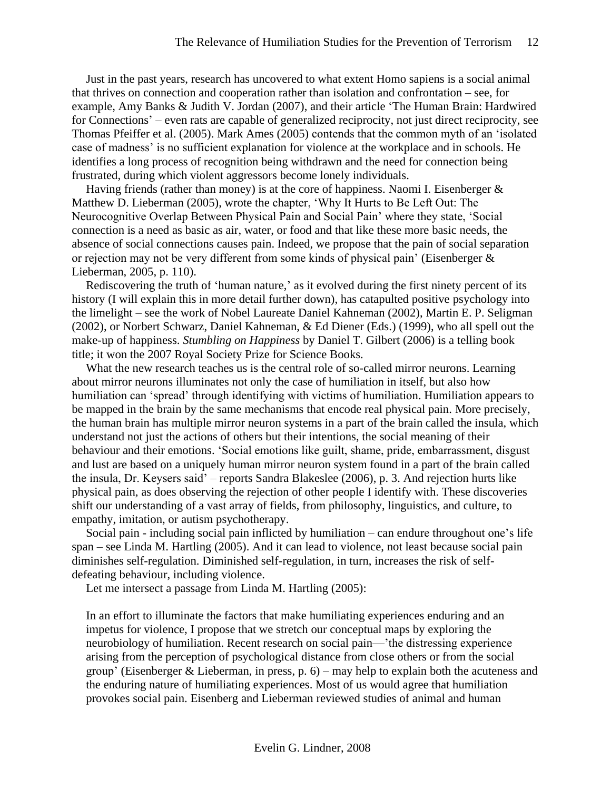Just in the past years, research has uncovered to what extent Homo sapiens is a social animal that thrives on connection and cooperation rather than isolation and confrontation – see, for example, Amy Banks & Judith V. Jordan (2007), and their article 'The Human Brain: Hardwired for Connections' – even rats are capable of generalized reciprocity, not just direct reciprocity, see Thomas Pfeiffer et al. (2005). Mark Ames (2005) contends that the common myth of an 'isolated case of madness' is no sufficient explanation for violence at the workplace and in schools. He identifies a long process of recognition being withdrawn and the need for connection being frustrated, during which violent aggressors become lonely individuals.

Having friends (rather than money) is at the core of happiness. Naomi I. Eisenberger  $\&$ Matthew D. Lieberman (2005), wrote the chapter, 'Why It Hurts to Be Left Out: The Neurocognitive Overlap Between Physical Pain and Social Pain' where they state, 'Social connection is a need as basic as air, water, or food and that like these more basic needs, the absence of social connections causes pain. Indeed, we propose that the pain of social separation or rejection may not be very different from some kinds of physical pain' (Eisenberger & Lieberman, 2005, p. 110).

Rediscovering the truth of 'human nature,' as it evolved during the first ninety percent of its history (I will explain this in more detail further down), has catapulted positive psychology into the limelight – see the work of Nobel Laureate Daniel Kahneman (2002), Martin E. P. Seligman (2002), or Norbert Schwarz, Daniel Kahneman, & Ed Diener (Eds.) (1999), who all spell out the make-up of happiness. *Stumbling on Happiness* by Daniel T. Gilbert (2006) is a telling book title; it won the 2007 Royal Society Prize for Science Books.

What the new research teaches us is the central role of so-called mirror neurons. Learning about mirror neurons illuminates not only the case of humiliation in itself, but also how humiliation can 'spread' through identifying with victims of humiliation. Humiliation appears to be mapped in the brain by the same mechanisms that encode real physical pain. More precisely, the human brain has multiple mirror neuron systems in a part of the brain called the insula, which understand not just the actions of others but their intentions, the social meaning of their behaviour and their emotions. 'Social emotions like guilt, shame, pride, embarrassment, disgust and lust are based on a uniquely human mirror neuron system found in a part of the brain called the insula, Dr. Keysers said' – reports Sandra Blakeslee (2006), p. 3. And rejection hurts like physical pain, as does observing the rejection of other people I identify with. These discoveries shift our understanding of a vast array of fields, from philosophy, linguistics, and culture, to empathy, imitation, or autism psychotherapy.

Social pain - including social pain inflicted by humiliation – can endure throughout one's life span – see Linda M. Hartling (2005). And it can lead to violence, not least because social pain diminishes self-regulation. Diminished self-regulation, in turn, increases the risk of selfdefeating behaviour, including violence.

Let me intersect a passage from Linda M. Hartling (2005):

In an effort to illuminate the factors that make humiliating experiences enduring and an impetus for violence, I propose that we stretch our conceptual maps by exploring the neurobiology of humiliation. Recent research on social pain—'the distressing experience arising from the perception of psychological distance from close others or from the social group' (Eisenberger & Lieberman, in press, p. 6) – may help to explain both the acuteness and the enduring nature of humiliating experiences. Most of us would agree that humiliation provokes social pain. Eisenberg and Lieberman reviewed studies of animal and human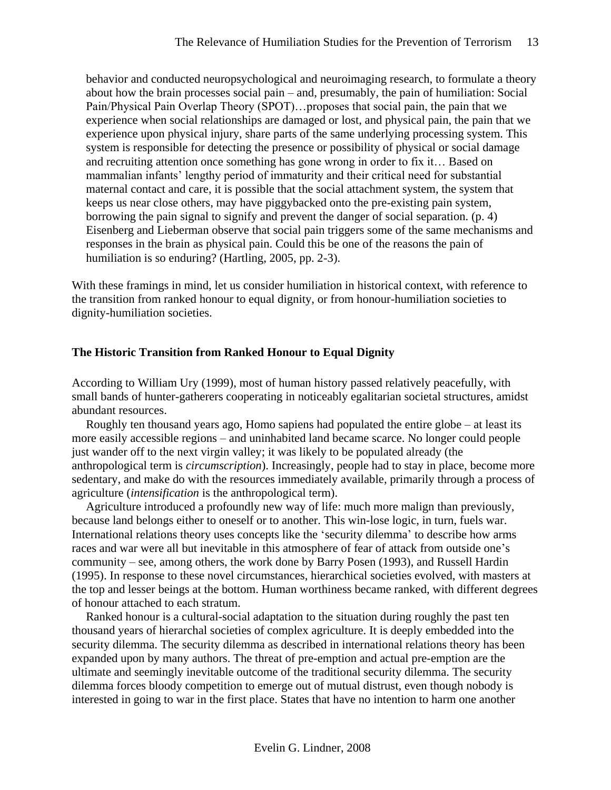behavior and conducted neuropsychological and neuroimaging research, to formulate a theory about how the brain processes social pain – and, presumably, the pain of humiliation: Social Pain/Physical Pain Overlap Theory (SPOT)…proposes that social pain, the pain that we experience when social relationships are damaged or lost, and physical pain, the pain that we experience upon physical injury, share parts of the same underlying processing system. This system is responsible for detecting the presence or possibility of physical or social damage and recruiting attention once something has gone wrong in order to fix it… Based on mammalian infants' lengthy period of immaturity and their critical need for substantial maternal contact and care, it is possible that the social attachment system, the system that keeps us near close others, may have piggybacked onto the pre-existing pain system, borrowing the pain signal to signify and prevent the danger of social separation. (p. 4) Eisenberg and Lieberman observe that social pain triggers some of the same mechanisms and responses in the brain as physical pain. Could this be one of the reasons the pain of humiliation is so enduring? (Hartling, 2005, pp. 2-3).

With these framings in mind, let us consider humiliation in historical context, with reference to the transition from ranked honour to equal dignity, or from honour-humiliation societies to dignity-humiliation societies.

# <span id="page-12-0"></span>**The Historic Transition from Ranked Honour to Equal Dignity**

According to William Ury (1999), most of human history passed relatively peacefully, with small bands of hunter-gatherers cooperating in noticeably egalitarian societal structures, amidst abundant resources.

Roughly ten thousand years ago, Homo sapiens had populated the entire globe – at least its more easily accessible regions – and uninhabited land became scarce. No longer could people just wander off to the next virgin valley; it was likely to be populated already (the anthropological term is *circumscription*). Increasingly, people had to stay in place, become more sedentary, and make do with the resources immediately available, primarily through a process of agriculture (*intensification* is the anthropological term).

Agriculture introduced a profoundly new way of life: much more malign than previously, because land belongs either to oneself or to another. This win-lose logic, in turn, fuels war. International relations theory uses concepts like the 'security dilemma' to describe how arms races and war were all but inevitable in this atmosphere of fear of attack from outside one's community – see, among others, the work done by Barry Posen (1993), and Russell Hardin (1995). In response to these novel circumstances, hierarchical societies evolved, with masters at the top and lesser beings at the bottom. Human worthiness became ranked, with different degrees of honour attached to each stratum.

Ranked honour is a cultural-social adaptation to the situation during roughly the past ten thousand years of hierarchal societies of complex agriculture. It is deeply embedded into the security dilemma. The security dilemma as described in international relations theory has been expanded upon by many authors. The threat of pre-emption and actual pre-emption are the ultimate and seemingly inevitable outcome of the traditional security dilemma. The security dilemma forces bloody competition to emerge out of mutual distrust, even though nobody is interested in going to war in the first place. States that have no intention to harm one another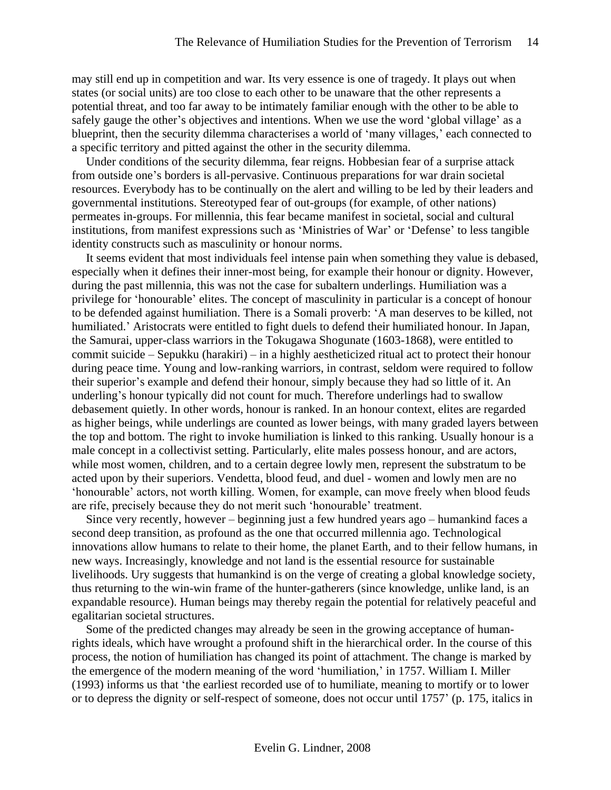may still end up in competition and war. Its very essence is one of tragedy. It plays out when states (or social units) are too close to each other to be unaware that the other represents a potential threat, and too far away to be intimately familiar enough with the other to be able to safely gauge the other's objectives and intentions. When we use the word 'global village' as a blueprint, then the security dilemma characterises a world of 'many villages,' each connected to a specific territory and pitted against the other in the security dilemma.

Under conditions of the security dilemma, fear reigns. Hobbesian fear of a surprise attack from outside one's borders is all-pervasive. Continuous preparations for war drain societal resources. Everybody has to be continually on the alert and willing to be led by their leaders and governmental institutions. Stereotyped fear of out-groups (for example, of other nations) permeates in-groups. For millennia, this fear became manifest in societal, social and cultural institutions, from manifest expressions such as 'Ministries of War' or 'Defense' to less tangible identity constructs such as masculinity or honour norms.

It seems evident that most individuals feel intense pain when something they value is debased, especially when it defines their inner-most being, for example their honour or dignity. However, during the past millennia, this was not the case for subaltern underlings. Humiliation was a privilege for 'honourable' elites. The concept of masculinity in particular is a concept of honour to be defended against humiliation. There is a Somali proverb: 'A man deserves to be killed, not humiliated.' Aristocrats were entitled to fight duels to defend their humiliated honour. In Japan, the Samurai, upper-class warriors in the Tokugawa Shogunate (1603-1868), were entitled to commit suicide – Sepukku (harakiri) – in a highly aestheticized ritual act to protect their honour during peace time. Young and low-ranking warriors, in contrast, seldom were required to follow their superior's example and defend their honour, simply because they had so little of it. An underling's honour typically did not count for much. Therefore underlings had to swallow debasement quietly. In other words, honour is ranked. In an honour context, elites are regarded as higher beings, while underlings are counted as lower beings, with many graded layers between the top and bottom. The right to invoke humiliation is linked to this ranking. Usually honour is a male concept in a collectivist setting. Particularly, elite males possess honour, and are actors, while most women, children, and to a certain degree lowly men, represent the substratum to be acted upon by their superiors. Vendetta, blood feud, and duel - women and lowly men are no 'honourable' actors, not worth killing. Women, for example, can move freely when blood feuds are rife, precisely because they do not merit such 'honourable' treatment.

Since very recently, however – beginning just a few hundred years ago – humankind faces a second deep transition, as profound as the one that occurred millennia ago. Technological innovations allow humans to relate to their home, the planet Earth, and to their fellow humans, in new ways. Increasingly, knowledge and not land is the essential resource for sustainable livelihoods. Ury suggests that humankind is on the verge of creating a global knowledge society, thus returning to the win-win frame of the hunter-gatherers (since knowledge, unlike land, is an expandable resource). Human beings may thereby regain the potential for relatively peaceful and egalitarian societal structures.

Some of the predicted changes may already be seen in the growing acceptance of humanrights ideals, which have wrought a profound shift in the hierarchical order. In the course of this process, the notion of humiliation has changed its point of attachment. The change is marked by the emergence of the modern meaning of the word 'humiliation,' in 1757. William I. Miller (1993) informs us that 'the earliest recorded use of to humiliate, meaning to mortify or to lower or to depress the dignity or self-respect of someone, does not occur until 1757' (p. 175, italics in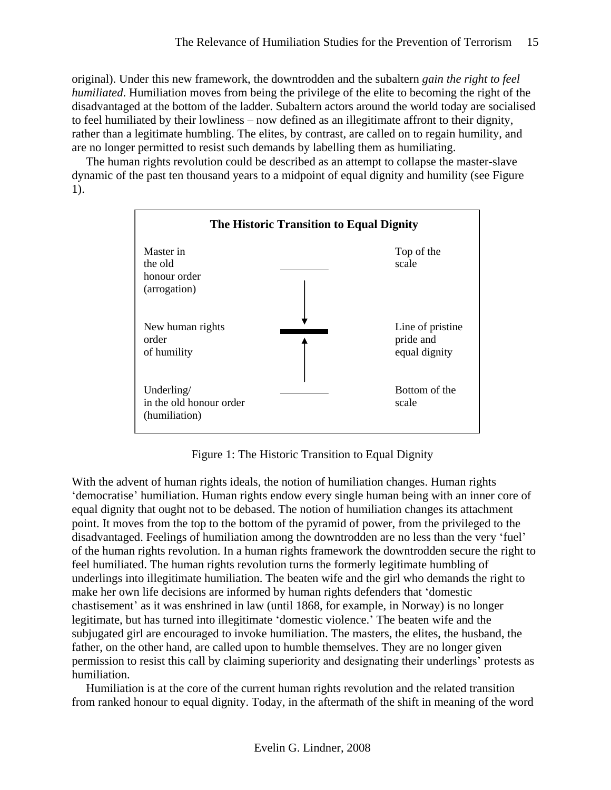original). Under this new framework, the downtrodden and the subaltern *gain the right to feel humiliated*. Humiliation moves from being the privilege of the elite to becoming the right of the disadvantaged at the bottom of the ladder. Subaltern actors around the world today are socialised to feel humiliated by their lowliness – now defined as an illegitimate affront to their dignity, rather than a legitimate humbling. The elites, by contrast, are called on to regain humility, and are no longer permitted to resist such demands by labelling them as humiliating.

The human rights revolution could be described as an attempt to collapse the master-slave dynamic of the past ten thousand years to a midpoint of equal dignity and humility (see Figure 1).



Figure 1: The Historic Transition to Equal Dignity

With the advent of human rights ideals, the notion of humiliation changes. Human rights 'democratise' humiliation. Human rights endow every single human being with an inner core of equal dignity that ought not to be debased. The notion of humiliation changes its attachment point. It moves from the top to the bottom of the pyramid of power, from the privileged to the disadvantaged. Feelings of humiliation among the downtrodden are no less than the very 'fuel' of the human rights revolution. In a human rights framework the downtrodden secure the right to feel humiliated. The human rights revolution turns the formerly legitimate humbling of underlings into illegitimate humiliation. The beaten wife and the girl who demands the right to make her own life decisions are informed by human rights defenders that 'domestic chastisement' as it was enshrined in law (until 1868, for example, in Norway) is no longer legitimate, but has turned into illegitimate 'domestic violence.' The beaten wife and the subjugated girl are encouraged to invoke humiliation. The masters, the elites, the husband, the father, on the other hand, are called upon to humble themselves. They are no longer given permission to resist this call by claiming superiority and designating their underlings' protests as humiliation.

Humiliation is at the core of the current human rights revolution and the related transition from ranked honour to equal dignity. Today, in the aftermath of the shift in meaning of the word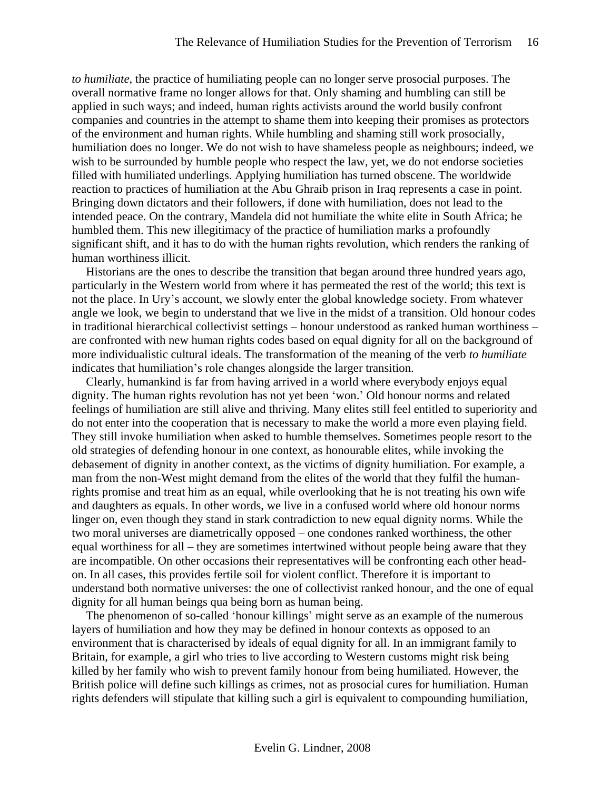*to humiliate*, the practice of humiliating people can no longer serve prosocial purposes. The overall normative frame no longer allows for that. Only shaming and humbling can still be applied in such ways; and indeed, human rights activists around the world busily confront companies and countries in the attempt to shame them into keeping their promises as protectors of the environment and human rights. While humbling and shaming still work prosocially, humiliation does no longer. We do not wish to have shameless people as neighbours; indeed, we wish to be surrounded by humble people who respect the law, yet, we do not endorse societies filled with humiliated underlings. Applying humiliation has turned obscene. The worldwide reaction to practices of humiliation at the Abu Ghraib prison in Iraq represents a case in point. Bringing down dictators and their followers, if done with humiliation, does not lead to the intended peace. On the contrary, Mandela did not humiliate the white elite in South Africa; he humbled them. This new illegitimacy of the practice of humiliation marks a profoundly significant shift, and it has to do with the human rights revolution, which renders the ranking of human worthiness illicit.

Historians are the ones to describe the transition that began around three hundred years ago, particularly in the Western world from where it has permeated the rest of the world; this text is not the place. In Ury's account, we slowly enter the global knowledge society. From whatever angle we look, we begin to understand that we live in the midst of a transition. Old honour codes in traditional hierarchical collectivist settings – honour understood as ranked human worthiness – are confronted with new human rights codes based on equal dignity for all on the background of more individualistic cultural ideals. The transformation of the meaning of the verb *to humiliate* indicates that humiliation's role changes alongside the larger transition.

Clearly, humankind is far from having arrived in a world where everybody enjoys equal dignity. The human rights revolution has not yet been 'won.' Old honour norms and related feelings of humiliation are still alive and thriving. Many elites still feel entitled to superiority and do not enter into the cooperation that is necessary to make the world a more even playing field. They still invoke humiliation when asked to humble themselves. Sometimes people resort to the old strategies of defending honour in one context, as honourable elites, while invoking the debasement of dignity in another context, as the victims of dignity humiliation. For example, a man from the non-West might demand from the elites of the world that they fulfil the humanrights promise and treat him as an equal, while overlooking that he is not treating his own wife and daughters as equals. In other words, we live in a confused world where old honour norms linger on, even though they stand in stark contradiction to new equal dignity norms. While the two moral universes are diametrically opposed – one condones ranked worthiness, the other equal worthiness for all – they are sometimes intertwined without people being aware that they are incompatible. On other occasions their representatives will be confronting each other headon. In all cases, this provides fertile soil for violent conflict. Therefore it is important to understand both normative universes: the one of collectivist ranked honour, and the one of equal dignity for all human beings qua being born as human being.

The phenomenon of so-called 'honour killings' might serve as an example of the numerous layers of humiliation and how they may be defined in honour contexts as opposed to an environment that is characterised by ideals of equal dignity for all. In an immigrant family to Britain, for example, a girl who tries to live according to Western customs might risk being killed by her family who wish to prevent family honour from being humiliated. However, the British police will define such killings as crimes, not as prosocial cures for humiliation. Human rights defenders will stipulate that killing such a girl is equivalent to compounding humiliation,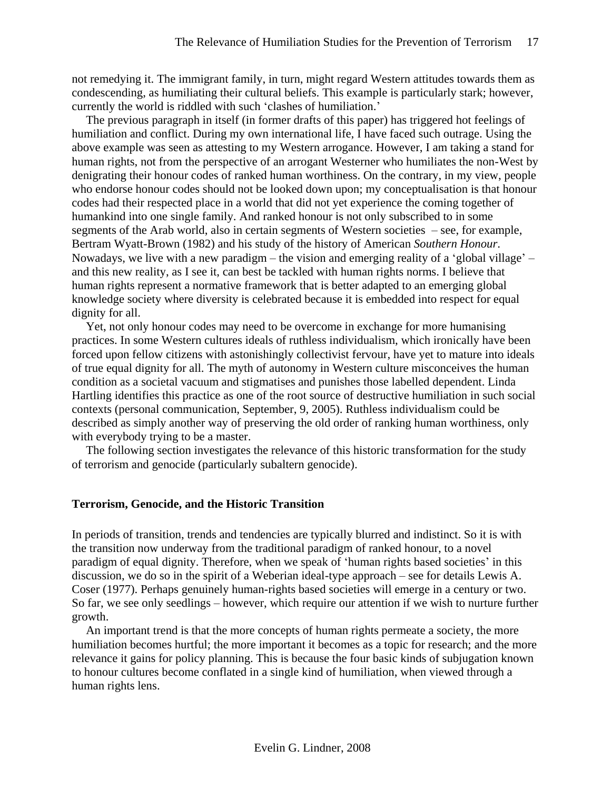not remedying it. The immigrant family, in turn, might regard Western attitudes towards them as condescending, as humiliating their cultural beliefs. This example is particularly stark; however, currently the world is riddled with such 'clashes of humiliation.'

The previous paragraph in itself (in former drafts of this paper) has triggered hot feelings of humiliation and conflict. During my own international life, I have faced such outrage. Using the above example was seen as attesting to my Western arrogance. However, I am taking a stand for human rights, not from the perspective of an arrogant Westerner who humiliates the non-West by denigrating their honour codes of ranked human worthiness. On the contrary, in my view, people who endorse honour codes should not be looked down upon; my conceptualisation is that honour codes had their respected place in a world that did not yet experience the coming together of humankind into one single family. And ranked honour is not only subscribed to in some segments of the Arab world, also in certain segments of Western societies – see, for example, Bertram Wyatt-Brown (1982) and his study of the history of American *Southern Honour*. Nowadays, we live with a new paradigm – the vision and emerging reality of a 'global village' – and this new reality, as I see it, can best be tackled with human rights norms. I believe that human rights represent a normative framework that is better adapted to an emerging global knowledge society where diversity is celebrated because it is embedded into respect for equal dignity for all.

Yet, not only honour codes may need to be overcome in exchange for more humanising practices. In some Western cultures ideals of ruthless individualism, which ironically have been forced upon fellow citizens with astonishingly collectivist fervour, have yet to mature into ideals of true equal dignity for all. The myth of autonomy in Western culture misconceives the human condition as a societal vacuum and stigmatises and punishes those labelled dependent. Linda Hartling identifies this practice as one of the root source of destructive humiliation in such social contexts (personal communication, September, 9, 2005). Ruthless individualism could be described as simply another way of preserving the old order of ranking human worthiness, only with everybody trying to be a master.

The following section investigates the relevance of this historic transformation for the study of terrorism and genocide (particularly subaltern genocide).

## **Terrorism, Genocide, and the Historic Transition**

In periods of transition, trends and tendencies are typically blurred and indistinct. So it is with the transition now underway from the traditional paradigm of ranked honour, to a novel paradigm of equal dignity. Therefore, when we speak of 'human rights based societies' in this discussion, we do so in the spirit of a Weberian ideal-type approach – see for details Lewis A. Coser (1977). Perhaps genuinely human-rights based societies will emerge in a century or two. So far, we see only seedlings – however, which require our attention if we wish to nurture further growth.

An important trend is that the more concepts of human rights permeate a society, the more humiliation becomes hurtful; the more important it becomes as a topic for research; and the more relevance it gains for policy planning. This is because the four basic kinds of subjugation known to honour cultures become conflated in a single kind of humiliation, when viewed through a human rights lens.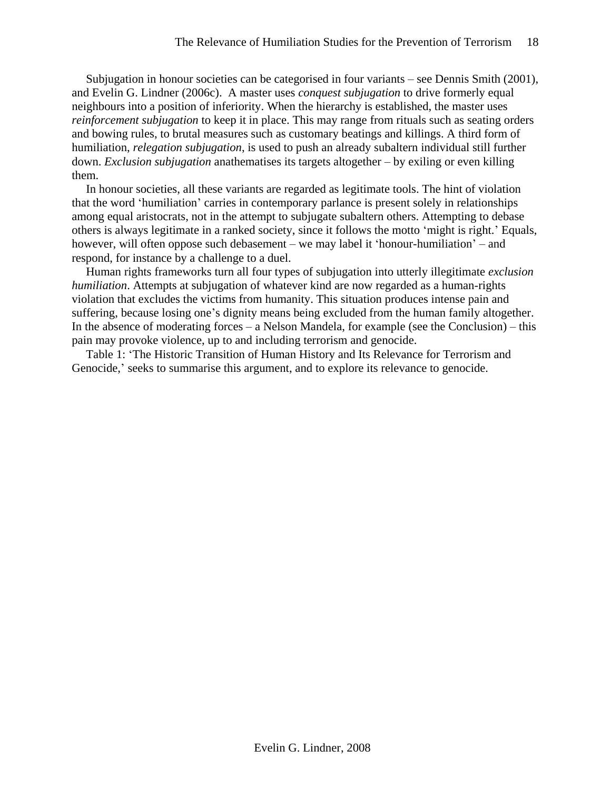Subjugation in honour societies can be categorised in four variants – see Dennis Smith (2001), and Evelin G. Lindner (2006c). A master uses *conquest subjugation* to drive formerly equal neighbours into a position of inferiority. When the hierarchy is established, the master uses *reinforcement subjugation* to keep it in place. This may range from rituals such as seating orders and bowing rules, to brutal measures such as customary beatings and killings. A third form of humiliation, *relegation subjugation*, is used to push an already subaltern individual still further down. *Exclusion subjugation* anathematises its targets altogether – by exiling or even killing them.

In honour societies, all these variants are regarded as legitimate tools. The hint of violation that the word 'humiliation' carries in contemporary parlance is present solely in relationships among equal aristocrats, not in the attempt to subjugate subaltern others. Attempting to debase others is always legitimate in a ranked society, since it follows the motto 'might is right.' Equals, however, will often oppose such debasement – we may label it 'honour-humiliation' – and respond, for instance by a challenge to a duel.

Human rights frameworks turn all four types of subjugation into utterly illegitimate *exclusion humiliation*. Attempts at subjugation of whatever kind are now regarded as a human-rights violation that excludes the victims from humanity. This situation produces intense pain and suffering, because losing one's dignity means being excluded from the human family altogether. In the absence of moderating forces – a Nelson Mandela, for example (see the Conclusion) – this pain may provoke violence, up to and including terrorism and genocide.

Table 1: 'The Historic Transition of Human History and Its Relevance for Terrorism and Genocide,' seeks to summarise this argument, and to explore its relevance to genocide.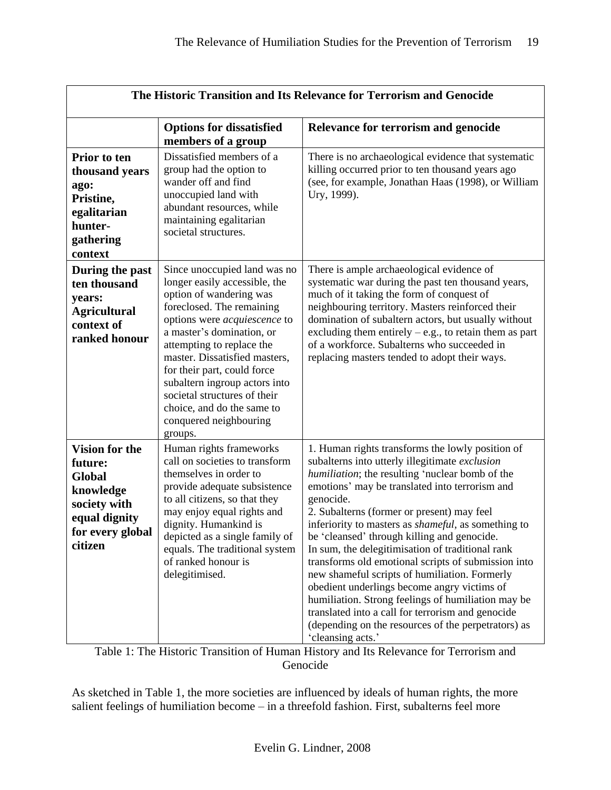| The Historic Transition and Its Relevance for Terrorism and Genocide                                                    |                                                                                                                                                                                                                                                                                                                                                                                                                            |                                                                                                                                                                                                                                                                                                                                                                                                                                                                                                                                                                                                                                                                                                                                                                            |  |  |
|-------------------------------------------------------------------------------------------------------------------------|----------------------------------------------------------------------------------------------------------------------------------------------------------------------------------------------------------------------------------------------------------------------------------------------------------------------------------------------------------------------------------------------------------------------------|----------------------------------------------------------------------------------------------------------------------------------------------------------------------------------------------------------------------------------------------------------------------------------------------------------------------------------------------------------------------------------------------------------------------------------------------------------------------------------------------------------------------------------------------------------------------------------------------------------------------------------------------------------------------------------------------------------------------------------------------------------------------------|--|--|
|                                                                                                                         | <b>Options for dissatisfied</b><br>members of a group                                                                                                                                                                                                                                                                                                                                                                      | Relevance for terrorism and genocide                                                                                                                                                                                                                                                                                                                                                                                                                                                                                                                                                                                                                                                                                                                                       |  |  |
| Prior to ten<br>thousand years<br>ago:<br>Pristine,<br>egalitarian<br>hunter-<br>gathering<br>context                   | Dissatisfied members of a<br>group had the option to<br>wander off and find<br>unoccupied land with<br>abundant resources, while<br>maintaining egalitarian<br>societal structures.                                                                                                                                                                                                                                        | There is no archaeological evidence that systematic<br>killing occurred prior to ten thousand years ago<br>(see, for example, Jonathan Haas (1998), or William<br>Ury, 1999).                                                                                                                                                                                                                                                                                                                                                                                                                                                                                                                                                                                              |  |  |
| During the past<br>ten thousand<br>years:<br><b>Agricultural</b><br>context of<br>ranked honour                         | Since unoccupied land was no<br>longer easily accessible, the<br>option of wandering was<br>foreclosed. The remaining<br>options were <i>acquiescence</i> to<br>a master's domination, or<br>attempting to replace the<br>master. Dissatisfied masters,<br>for their part, could force<br>subaltern ingroup actors into<br>societal structures of their<br>choice, and do the same to<br>conquered neighbouring<br>groups. | There is ample archaeological evidence of<br>systematic war during the past ten thousand years,<br>much of it taking the form of conquest of<br>neighbouring territory. Masters reinforced their<br>domination of subaltern actors, but usually without<br>excluding them entirely $-e.g.,$ to retain them as part<br>of a workforce. Subalterns who succeeded in<br>replacing masters tended to adopt their ways.                                                                                                                                                                                                                                                                                                                                                         |  |  |
| <b>Vision for the</b><br>future:<br>Global<br>knowledge<br>society with<br>equal dignity<br>for every global<br>citizen | Human rights frameworks<br>call on societies to transform<br>themselves in order to<br>provide adequate subsistence<br>to all citizens, so that they<br>may enjoy equal rights and<br>dignity. Humankind is<br>depicted as a single family of<br>equals. The traditional system<br>of ranked honour is<br>delegitimised.                                                                                                   | 1. Human rights transforms the lowly position of<br>subalterns into utterly illegitimate exclusion<br>humiliation; the resulting 'nuclear bomb of the<br>emotions' may be translated into terrorism and<br>genocide.<br>2. Subalterns (former or present) may feel<br>inferiority to masters as shameful, as something to<br>be 'cleansed' through killing and genocide.<br>In sum, the delegitimisation of traditional rank<br>transforms old emotional scripts of submission into<br>new shameful scripts of humiliation. Formerly<br>obedient underlings become angry victims of<br>humiliation. Strong feelings of humiliation may be<br>translated into a call for terrorism and genocide<br>(depending on the resources of the perpetrators) as<br>'cleansing acts.' |  |  |

Table 1: The Historic Transition of Human History and Its Relevance for Terrorism and Genocide

As sketched in Table 1, the more societies are influenced by ideals of human rights, the more salient feelings of humiliation become – in a threefold fashion. First, subalterns feel more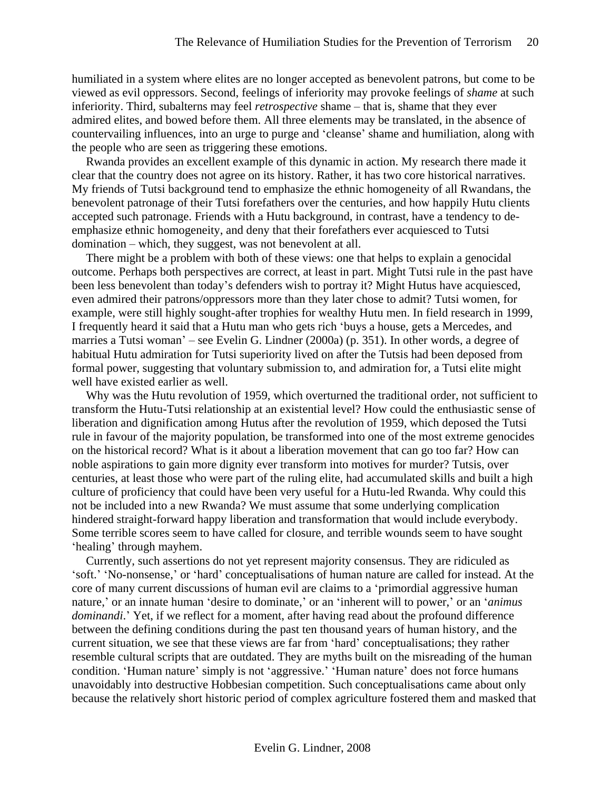humiliated in a system where elites are no longer accepted as benevolent patrons, but come to be viewed as evil oppressors. Second, feelings of inferiority may provoke feelings of *shame* at such inferiority. Third, subalterns may feel *retrospective* shame – that is, shame that they ever admired elites, and bowed before them. All three elements may be translated, in the absence of countervailing influences, into an urge to purge and 'cleanse' shame and humiliation, along with the people who are seen as triggering these emotions.

Rwanda provides an excellent example of this dynamic in action. My research there made it clear that the country does not agree on its history. Rather, it has two core historical narratives. My friends of Tutsi background tend to emphasize the ethnic homogeneity of all Rwandans, the benevolent patronage of their Tutsi forefathers over the centuries, and how happily Hutu clients accepted such patronage. Friends with a Hutu background, in contrast, have a tendency to deemphasize ethnic homogeneity, and deny that their forefathers ever acquiesced to Tutsi domination – which, they suggest, was not benevolent at all.

There might be a problem with both of these views: one that helps to explain a genocidal outcome. Perhaps both perspectives are correct, at least in part. Might Tutsi rule in the past have been less benevolent than today's defenders wish to portray it? Might Hutus have acquiesced, even admired their patrons/oppressors more than they later chose to admit? Tutsi women, for example, were still highly sought-after trophies for wealthy Hutu men. In field research in 1999, I frequently heard it said that a Hutu man who gets rich 'buys a house, gets a Mercedes, and marries a Tutsi woman' – see Evelin G. Lindner (2000a) (p. 351). In other words, a degree of habitual Hutu admiration for Tutsi superiority lived on after the Tutsis had been deposed from formal power, suggesting that voluntary submission to, and admiration for, a Tutsi elite might well have existed earlier as well.

Why was the Hutu revolution of 1959, which overturned the traditional order, not sufficient to transform the Hutu-Tutsi relationship at an existential level? How could the enthusiastic sense of liberation and dignification among Hutus after the revolution of 1959, which deposed the Tutsi rule in favour of the majority population, be transformed into one of the most extreme genocides on the historical record? What is it about a liberation movement that can go too far? How can noble aspirations to gain more dignity ever transform into motives for murder? Tutsis, over centuries, at least those who were part of the ruling elite, had accumulated skills and built a high culture of proficiency that could have been very useful for a Hutu-led Rwanda. Why could this not be included into a new Rwanda? We must assume that some underlying complication hindered straight-forward happy liberation and transformation that would include everybody. Some terrible scores seem to have called for closure, and terrible wounds seem to have sought 'healing' through mayhem.

Currently, such assertions do not yet represent majority consensus. They are ridiculed as 'soft.' 'No-nonsense,' or 'hard' conceptualisations of human nature are called for instead. At the core of many current discussions of human evil are claims to a 'primordial aggressive human nature,' or an innate human 'desire to dominate,' or an 'inherent will to power,' or an '*animus dominandi*.' Yet, if we reflect for a moment, after having read about the profound difference between the defining conditions during the past ten thousand years of human history, and the current situation, we see that these views are far from 'hard' conceptualisations; they rather resemble cultural scripts that are outdated. They are myths built on the misreading of the human condition. 'Human nature' simply is not 'aggressive.' 'Human nature' does not force humans unavoidably into destructive Hobbesian competition. Such conceptualisations came about only because the relatively short historic period of complex agriculture fostered them and masked that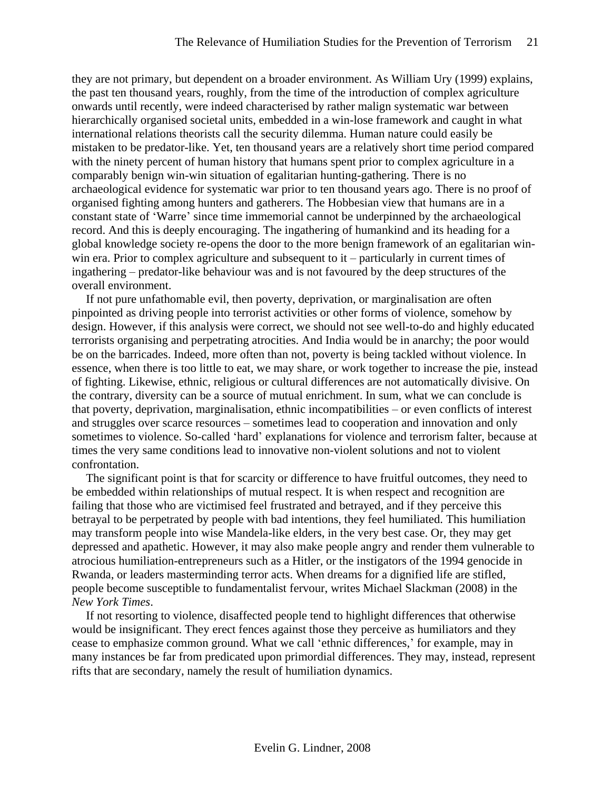they are not primary, but dependent on a broader environment. As William Ury (1999) explains, the past ten thousand years, roughly, from the time of the introduction of complex agriculture onwards until recently, were indeed characterised by rather malign systematic war between hierarchically organised societal units, embedded in a win-lose framework and caught in what international relations theorists call the security dilemma. Human nature could easily be mistaken to be predator-like. Yet, ten thousand years are a relatively short time period compared with the ninety percent of human history that humans spent prior to complex agriculture in a comparably benign win-win situation of egalitarian hunting-gathering. There is no archaeological evidence for systematic war prior to ten thousand years ago. There is no proof of organised fighting among hunters and gatherers. The Hobbesian view that humans are in a constant state of 'Warre' since time immemorial cannot be underpinned by the archaeological record. And this is deeply encouraging. The ingathering of humankind and its heading for a global knowledge society re-opens the door to the more benign framework of an egalitarian winwin era. Prior to complex agriculture and subsequent to it – particularly in current times of ingathering – predator-like behaviour was and is not favoured by the deep structures of the overall environment.

If not pure unfathomable evil, then poverty, deprivation, or marginalisation are often pinpointed as driving people into terrorist activities or other forms of violence, somehow by design. However, if this analysis were correct, we should not see well-to-do and highly educated terrorists organising and perpetrating atrocities. And India would be in anarchy; the poor would be on the barricades. Indeed, more often than not, poverty is being tackled without violence. In essence, when there is too little to eat, we may share, or work together to increase the pie, instead of fighting. Likewise, ethnic, religious or cultural differences are not automatically divisive. On the contrary, diversity can be a source of mutual enrichment. In sum, what we can conclude is that poverty, deprivation, marginalisation, ethnic incompatibilities – or even conflicts of interest and struggles over scarce resources – sometimes lead to cooperation and innovation and only sometimes to violence. So-called 'hard' explanations for violence and terrorism falter, because at times the very same conditions lead to innovative non-violent solutions and not to violent confrontation.

The significant point is that for scarcity or difference to have fruitful outcomes, they need to be embedded within relationships of mutual respect. It is when respect and recognition are failing that those who are victimised feel frustrated and betrayed, and if they perceive this betrayal to be perpetrated by people with bad intentions, they feel humiliated. This humiliation may transform people into wise Mandela-like elders, in the very best case. Or, they may get depressed and apathetic. However, it may also make people angry and render them vulnerable to atrocious humiliation-entrepreneurs such as a Hitler, or the instigators of the 1994 genocide in Rwanda, or leaders masterminding terror acts. When dreams for a dignified life are stifled, people become susceptible to fundamentalist fervour, writes Michael Slackman (2008) in the *New York Times*.

If not resorting to violence, disaffected people tend to highlight differences that otherwise would be insignificant. They erect fences against those they perceive as humiliators and they cease to emphasize common ground. What we call 'ethnic differences,' for example, may in many instances be far from predicated upon primordial differences. They may, instead, represent rifts that are secondary, namely the result of humiliation dynamics.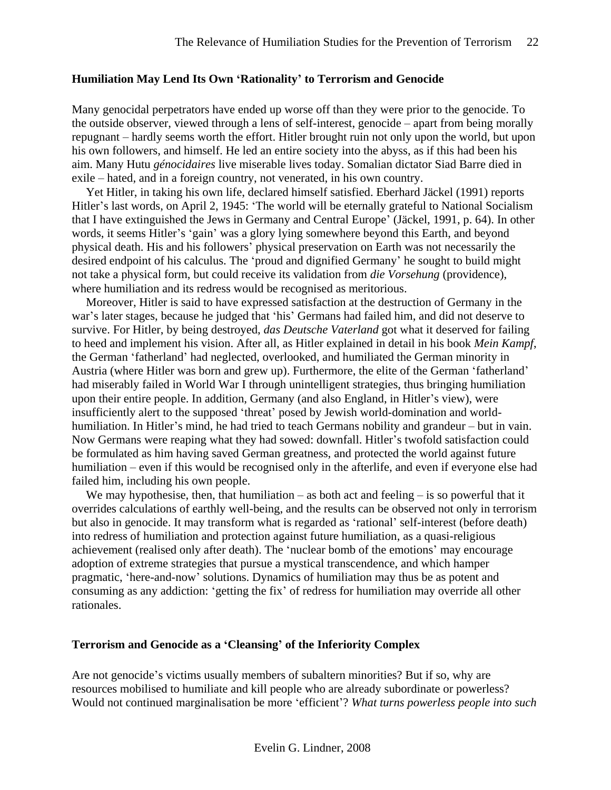## <span id="page-21-0"></span>**Humiliation May Lend Its Own 'Rationality' to Terrorism and Genocide**

Many genocidal perpetrators have ended up worse off than they were prior to the genocide. To the outside observer, viewed through a lens of self-interest, genocide – apart from being morally repugnant – hardly seems worth the effort. Hitler brought ruin not only upon the world, but upon his own followers, and himself. He led an entire society into the abyss, as if this had been his aim. Many Hutu *génocidaires* live miserable lives today. Somalian dictator Siad Barre died in exile – hated, and in a foreign country, not venerated, in his own country.

Yet Hitler, in taking his own life, declared himself satisfied. Eberhard Jäckel (1991) reports Hitler's last words, on April 2, 1945: 'The world will be eternally grateful to National Socialism that I have extinguished the Jews in Germany and Central Europe' (Jäckel, 1991, p. 64). In other words, it seems Hitler's 'gain' was a glory lying somewhere beyond this Earth, and beyond physical death. His and his followers' physical preservation on Earth was not necessarily the desired endpoint of his calculus. The 'proud and dignified Germany' he sought to build might not take a physical form, but could receive its validation from *die Vorsehung* (providence), where humiliation and its redress would be recognised as meritorious.

Moreover, Hitler is said to have expressed satisfaction at the destruction of Germany in the war's later stages, because he judged that 'his' Germans had failed him, and did not deserve to survive. For Hitler, by being destroyed, *das Deutsche Vaterland* got what it deserved for failing to heed and implement his vision. After all, as Hitler explained in detail in his book *Mein Kampf*, the German 'fatherland' had neglected, overlooked, and humiliated the German minority in Austria (where Hitler was born and grew up). Furthermore, the elite of the German 'fatherland' had miserably failed in World War I through unintelligent strategies, thus bringing humiliation upon their entire people. In addition, Germany (and also England, in Hitler's view), were insufficiently alert to the supposed 'threat' posed by Jewish world-domination and worldhumiliation. In Hitler's mind, he had tried to teach Germans nobility and grandeur – but in vain. Now Germans were reaping what they had sowed: downfall. Hitler's twofold satisfaction could be formulated as him having saved German greatness, and protected the world against future humiliation – even if this would be recognised only in the afterlife, and even if everyone else had failed him, including his own people.

We may hypothesise, then, that humiliation – as both act and feeling – is so powerful that it overrides calculations of earthly well-being, and the results can be observed not only in terrorism but also in genocide. It may transform what is regarded as 'rational' self-interest (before death) into redress of humiliation and protection against future humiliation, as a quasi-religious achievement (realised only after death). The 'nuclear bomb of the emotions' may encourage adoption of extreme strategies that pursue a mystical transcendence, and which hamper pragmatic, 'here-and-now' solutions. Dynamics of humiliation may thus be as potent and consuming as any addiction: 'getting the fix' of redress for humiliation may override all other rationales.

#### <span id="page-21-1"></span>**Terrorism and Genocide as a 'Cleansing' of the Inferiority Complex**

Are not genocide's victims usually members of subaltern minorities? But if so, why are resources mobilised to humiliate and kill people who are already subordinate or powerless? Would not continued marginalisation be more 'efficient'? *What turns powerless people into such*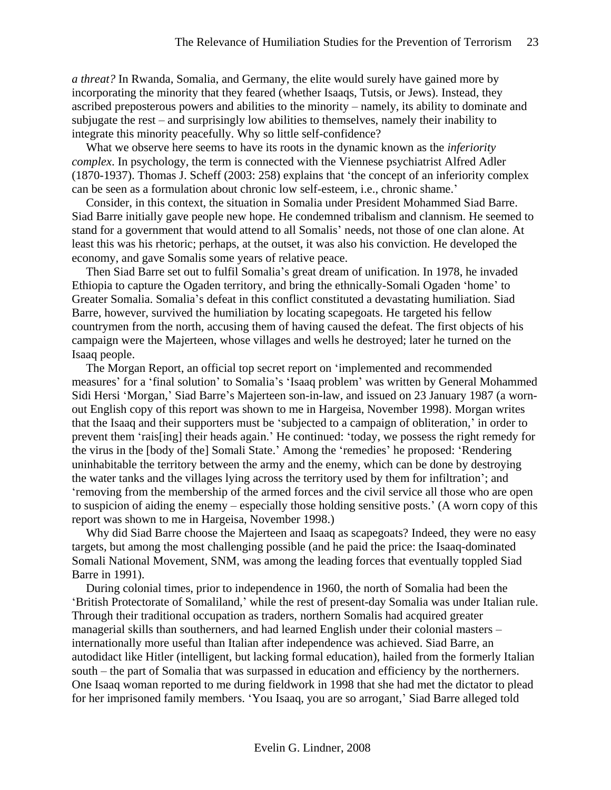*a threat?* In Rwanda, Somalia, and Germany, the elite would surely have gained more by incorporating the minority that they feared (whether Isaaqs, Tutsis, or Jews). Instead, they ascribed preposterous powers and abilities to the minority – namely, its ability to dominate and subjugate the rest – and surprisingly low abilities to themselves, namely their inability to integrate this minority peacefully. Why so little self-confidence?

What we observe here seems to have its roots in the dynamic known as the *inferiority complex*. In psychology, the term is connected with the Viennese psychiatrist Alfred Adler (1870-1937). Thomas J. Scheff (2003: 258) explains that 'the concept of an inferiority complex can be seen as a formulation about chronic low self-esteem, i.e., chronic shame.'

Consider, in this context, the situation in Somalia under President Mohammed Siad Barre. Siad Barre initially gave people new hope. He condemned tribalism and clannism. He seemed to stand for a government that would attend to all Somalis' needs, not those of one clan alone. At least this was his rhetoric; perhaps, at the outset, it was also his conviction. He developed the economy, and gave Somalis some years of relative peace.

Then Siad Barre set out to fulfil Somalia's great dream of unification. In 1978, he invaded Ethiopia to capture the Ogaden territory, and bring the ethnically-Somali Ogaden 'home' to Greater Somalia. Somalia's defeat in this conflict constituted a devastating humiliation. Siad Barre, however, survived the humiliation by locating scapegoats. He targeted his fellow countrymen from the north, accusing them of having caused the defeat. The first objects of his campaign were the Majerteen, whose villages and wells he destroyed; later he turned on the Isaaq people.

The Morgan Report, an official top secret report on 'implemented and recommended measures' for a 'final solution' to Somalia's 'Isaaq problem' was written by General Mohammed Sidi Hersi 'Morgan,' Siad Barre's Majerteen son-in-law, and issued on 23 January 1987 (a wornout English copy of this report was shown to me in Hargeisa, November 1998). Morgan writes that the Isaaq and their supporters must be 'subjected to a campaign of obliteration,' in order to prevent them 'rais[ing] their heads again.' He continued: 'today, we possess the right remedy for the virus in the [body of the] Somali State.' Among the 'remedies' he proposed: 'Rendering uninhabitable the territory between the army and the enemy, which can be done by destroying the water tanks and the villages lying across the territory used by them for infiltration'; and 'removing from the membership of the armed forces and the civil service all those who are open to suspicion of aiding the enemy – especially those holding sensitive posts.' (A worn copy of this report was shown to me in Hargeisa, November 1998.)

Why did Siad Barre choose the Majerteen and Isaaq as scapegoats? Indeed, they were no easy targets, but among the most challenging possible (and he paid the price: the Isaaq-dominated Somali National Movement, SNM, was among the leading forces that eventually toppled Siad Barre in 1991).

During colonial times, prior to independence in 1960, the north of Somalia had been the 'British Protectorate of Somaliland,' while the rest of present-day Somalia was under Italian rule. Through their traditional occupation as traders, northern Somalis had acquired greater managerial skills than southerners, and had learned English under their colonial masters – internationally more useful than Italian after independence was achieved. Siad Barre, an autodidact like Hitler (intelligent, but lacking formal education), hailed from the formerly Italian south – the part of Somalia that was surpassed in education and efficiency by the northerners. One Isaaq woman reported to me during fieldwork in 1998 that she had met the dictator to plead for her imprisoned family members. 'You Isaaq, you are so arrogant,' Siad Barre alleged told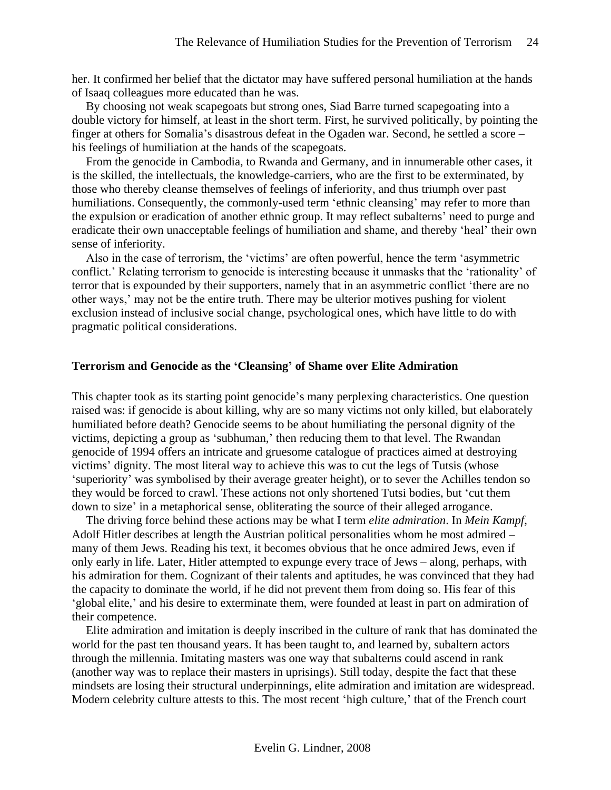her. It confirmed her belief that the dictator may have suffered personal humiliation at the hands of Isaaq colleagues more educated than he was.

By choosing not weak scapegoats but strong ones, Siad Barre turned scapegoating into a double victory for himself, at least in the short term. First, he survived politically, by pointing the finger at others for Somalia's disastrous defeat in the Ogaden war. Second, he settled a score – his feelings of humiliation at the hands of the scapegoats.

From the genocide in Cambodia, to Rwanda and Germany, and in innumerable other cases, it is the skilled, the intellectuals, the knowledge-carriers, who are the first to be exterminated, by those who thereby cleanse themselves of feelings of inferiority, and thus triumph over past humiliations. Consequently, the commonly-used term 'ethnic cleansing' may refer to more than the expulsion or eradication of another ethnic group. It may reflect subalterns' need to purge and eradicate their own unacceptable feelings of humiliation and shame, and thereby 'heal' their own sense of inferiority.

Also in the case of terrorism, the 'victims' are often powerful, hence the term 'asymmetric conflict.' Relating terrorism to genocide is interesting because it unmasks that the 'rationality' of terror that is expounded by their supporters, namely that in an asymmetric conflict 'there are no other ways,' may not be the entire truth. There may be ulterior motives pushing for violent exclusion instead of inclusive social change, psychological ones, which have little to do with pragmatic political considerations.

#### <span id="page-23-0"></span>**Terrorism and Genocide as the 'Cleansing' of Shame over Elite Admiration**

This chapter took as its starting point genocide's many perplexing characteristics. One question raised was: if genocide is about killing, why are so many victims not only killed, but elaborately humiliated before death? Genocide seems to be about humiliating the personal dignity of the victims, depicting a group as 'subhuman,' then reducing them to that level. The Rwandan genocide of 1994 offers an intricate and gruesome catalogue of practices aimed at destroying victims' dignity. The most literal way to achieve this was to cut the legs of Tutsis (whose 'superiority' was symbolised by their average greater height), or to sever the Achilles tendon so they would be forced to crawl. These actions not only shortened Tutsi bodies, but 'cut them down to size' in a metaphorical sense, obliterating the source of their alleged arrogance.

The driving force behind these actions may be what I term *elite admiration*. In *Mein Kampf*, Adolf Hitler describes at length the Austrian political personalities whom he most admired – many of them Jews. Reading his text, it becomes obvious that he once admired Jews, even if only early in life. Later, Hitler attempted to expunge every trace of Jews – along, perhaps, with his admiration for them. Cognizant of their talents and aptitudes, he was convinced that they had the capacity to dominate the world, if he did not prevent them from doing so. His fear of this 'global elite,' and his desire to exterminate them, were founded at least in part on admiration of their competence.

Elite admiration and imitation is deeply inscribed in the culture of rank that has dominated the world for the past ten thousand years. It has been taught to, and learned by, subaltern actors through the millennia. Imitating masters was one way that subalterns could ascend in rank (another way was to replace their masters in uprisings). Still today, despite the fact that these mindsets are losing their structural underpinnings, elite admiration and imitation are widespread. Modern celebrity culture attests to this. The most recent 'high culture,' that of the French court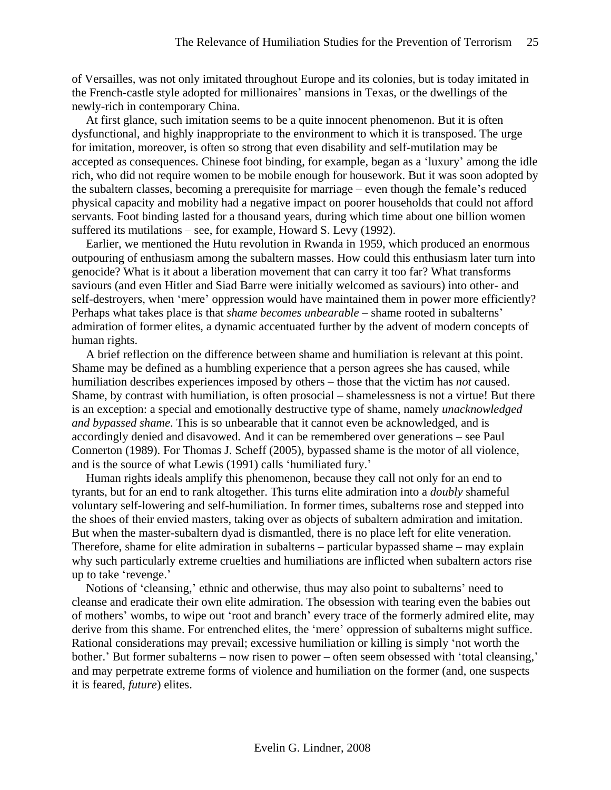of Versailles, was not only imitated throughout Europe and its colonies, but is today imitated in the French-castle style adopted for millionaires' mansions in Texas, or the dwellings of the newly-rich in contemporary China.

At first glance, such imitation seems to be a quite innocent phenomenon. But it is often dysfunctional, and highly inappropriate to the environment to which it is transposed. The urge for imitation, moreover, is often so strong that even disability and self-mutilation may be accepted as consequences. Chinese foot binding, for example, began as a 'luxury' among the idle rich, who did not require women to be mobile enough for housework. But it was soon adopted by the subaltern classes, becoming a prerequisite for marriage – even though the female's reduced physical capacity and mobility had a negative impact on poorer households that could not afford servants. Foot binding lasted for a thousand years, during which time about one billion women suffered its mutilations – see, for example, Howard S. Levy (1992).

Earlier, we mentioned the Hutu revolution in Rwanda in 1959, which produced an enormous outpouring of enthusiasm among the subaltern masses. How could this enthusiasm later turn into genocide? What is it about a liberation movement that can carry it too far? What transforms saviours (and even Hitler and Siad Barre were initially welcomed as saviours) into other- and self-destroyers, when 'mere' oppression would have maintained them in power more efficiently? Perhaps what takes place is that *shame becomes unbearable* – shame rooted in subalterns' admiration of former elites, a dynamic accentuated further by the advent of modern concepts of human rights.

A brief reflection on the difference between shame and humiliation is relevant at this point. Shame may be defined as a humbling experience that a person agrees she has caused, while humiliation describes experiences imposed by others – those that the victim has *not* caused. Shame, by contrast with humiliation, is often prosocial – shamelessness is not a virtue! But there is an exception: a special and emotionally destructive type of shame, namely *unacknowledged and bypassed shame*. This is so unbearable that it cannot even be acknowledged, and is accordingly denied and disavowed. And it can be remembered over generations – see Paul Connerton (1989). For Thomas J. Scheff (2005), bypassed shame is the motor of all violence, and is the source of what Lewis (1991) calls 'humiliated fury.'

Human rights ideals amplify this phenomenon, because they call not only for an end to tyrants, but for an end to rank altogether. This turns elite admiration into a *doubly* shameful voluntary self-lowering and self-humiliation. In former times, subalterns rose and stepped into the shoes of their envied masters, taking over as objects of subaltern admiration and imitation. But when the master-subaltern dyad is dismantled, there is no place left for elite veneration. Therefore, shame for elite admiration in subalterns – particular bypassed shame – may explain why such particularly extreme cruelties and humiliations are inflicted when subaltern actors rise up to take 'revenge.'

Notions of 'cleansing,' ethnic and otherwise, thus may also point to subalterns' need to cleanse and eradicate their own elite admiration. The obsession with tearing even the babies out of mothers' wombs, to wipe out 'root and branch' every trace of the formerly admired elite, may derive from this shame. For entrenched elites, the 'mere' oppression of subalterns might suffice. Rational considerations may prevail; excessive humiliation or killing is simply 'not worth the bother.' But former subalterns – now risen to power – often seem obsessed with 'total cleansing,' and may perpetrate extreme forms of violence and humiliation on the former (and, one suspects it is feared, *future*) elites.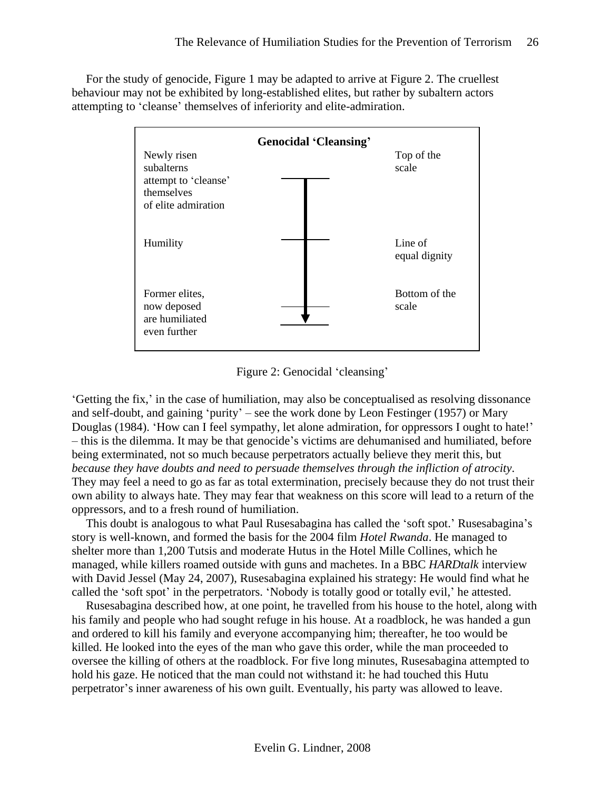For the study of genocide, Figure 1 may be adapted to arrive at Figure 2. The cruellest behaviour may not be exhibited by long-established elites, but rather by subaltern actors attempting to 'cleanse' themselves of inferiority and elite-admiration.

| Newly risen<br>subalterns<br>attempt to 'cleanse'<br>themselves<br>of elite admiration | <b>Genocidal 'Cleansing'</b> | Top of the<br>scale      |
|----------------------------------------------------------------------------------------|------------------------------|--------------------------|
| Humility                                                                               |                              | Line of<br>equal dignity |
| Former elites,<br>now deposed<br>are humiliated<br>even further                        |                              | Bottom of the<br>scale   |

Figure 2: Genocidal 'cleansing'

'Getting the fix,' in the case of humiliation, may also be conceptualised as resolving dissonance and self-doubt, and gaining 'purity' – see the work done by Leon Festinger (1957) or Mary Douglas (1984). 'How can I feel sympathy, let alone admiration, for oppressors I ought to hate!' – this is the dilemma. It may be that genocide's victims are dehumanised and humiliated, before being exterminated, not so much because perpetrators actually believe they merit this, but *because they have doubts and need to persuade themselves through the infliction of atrocity*. They may feel a need to go as far as total extermination, precisely because they do not trust their own ability to always hate. They may fear that weakness on this score will lead to a return of the oppressors, and to a fresh round of humiliation.

This doubt is analogous to what Paul Rusesabagina has called the 'soft spot.' Rusesabagina's story is well-known, and formed the basis for the 2004 film *Hotel Rwanda*. He managed to shelter more than 1,200 Tutsis and moderate Hutus in the Hotel Mille Collines, which he managed, while killers roamed outside with guns and machetes. In a BBC *HARDtalk* interview with David Jessel (May 24, 2007), Rusesabagina explained his strategy: He would find what he called the 'soft spot' in the perpetrators. 'Nobody is totally good or totally evil,' he attested.

Rusesabagina described how, at one point, he travelled from his house to the hotel, along with his family and people who had sought refuge in his house. At a roadblock, he was handed a gun and ordered to kill his family and everyone accompanying him; thereafter, he too would be killed. He looked into the eyes of the man who gave this order, while the man proceeded to oversee the killing of others at the roadblock. For five long minutes, Rusesabagina attempted to hold his gaze. He noticed that the man could not withstand it: he had touched this Hutu perpetrator's inner awareness of his own guilt. Eventually, his party was allowed to leave.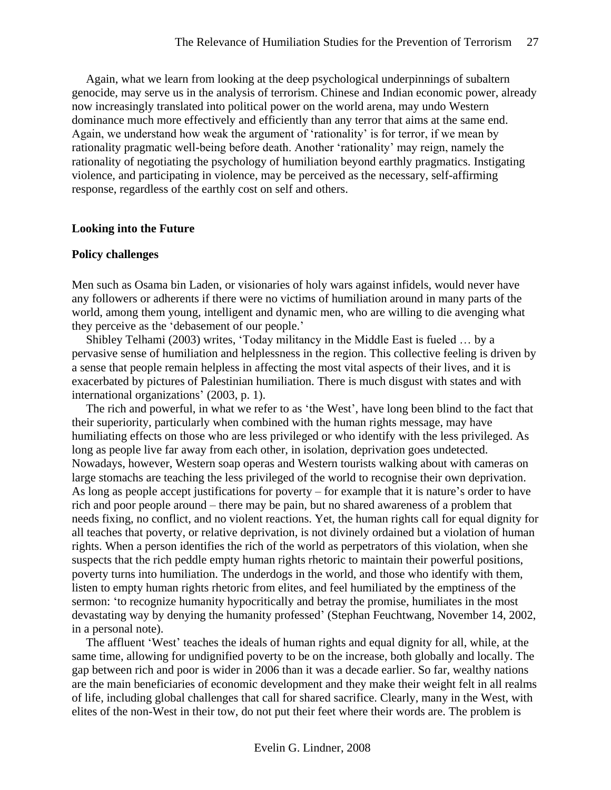Again, what we learn from looking at the deep psychological underpinnings of subaltern genocide, may serve us in the analysis of terrorism. Chinese and Indian economic power, already now increasingly translated into political power on the world arena, may undo Western dominance much more effectively and efficiently than any terror that aims at the same end. Again, we understand how weak the argument of 'rationality' is for terror, if we mean by rationality pragmatic well-being before death. Another 'rationality' may reign, namely the rationality of negotiating the psychology of humiliation beyond earthly pragmatics. Instigating violence, and participating in violence, may be perceived as the necessary, self-affirming response, regardless of the earthly cost on self and others.

#### <span id="page-26-0"></span>**Looking into the Future**

#### **Policy challenges**

Men such as Osama bin Laden, or visionaries of holy wars against infidels, would never have any followers or adherents if there were no victims of humiliation around in many parts of the world, among them young, intelligent and dynamic men, who are willing to die avenging what they perceive as the 'debasement of our people.'

Shibley Telhami (2003) writes, 'Today militancy in the Middle East is fueled … by a pervasive sense of humiliation and helplessness in the region. This collective feeling is driven by a sense that people remain helpless in affecting the most vital aspects of their lives, and it is exacerbated by pictures of Palestinian humiliation. There is much disgust with states and with international organizations' (2003, p. 1).

The rich and powerful, in what we refer to as 'the West', have long been blind to the fact that their superiority, particularly when combined with the human rights message, may have humiliating effects on those who are less privileged or who identify with the less privileged. As long as people live far away from each other, in isolation, deprivation goes undetected. Nowadays, however, Western soap operas and Western tourists walking about with cameras on large stomachs are teaching the less privileged of the world to recognise their own deprivation. As long as people accept justifications for poverty – for example that it is nature's order to have rich and poor people around – there may be pain, but no shared awareness of a problem that needs fixing, no conflict, and no violent reactions. Yet, the human rights call for equal dignity for all teaches that poverty, or relative deprivation, is not divinely ordained but a violation of human rights. When a person identifies the rich of the world as perpetrators of this violation, when she suspects that the rich peddle empty human rights rhetoric to maintain their powerful positions, poverty turns into humiliation. The underdogs in the world, and those who identify with them, listen to empty human rights rhetoric from elites, and feel humiliated by the emptiness of the sermon: 'to recognize humanity hypocritically and betray the promise, humiliates in the most devastating way by denying the humanity professed' (Stephan Feuchtwang, November 14, 2002, in a personal note).

The affluent 'West' teaches the ideals of human rights and equal dignity for all, while, at the same time, allowing for undignified poverty to be on the increase, both globally and locally. The gap between rich and poor is wider in 2006 than it was a decade earlier. So far, wealthy nations are the main beneficiaries of economic development and they make their weight felt in all realms of life, including global challenges that call for shared sacrifice. Clearly, many in the West, with elites of the non-West in their tow, do not put their feet where their words are. The problem is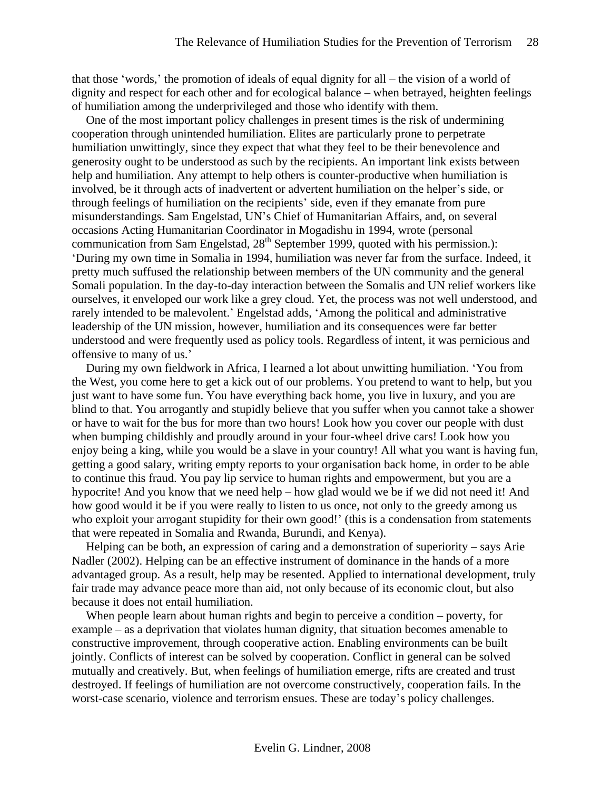that those 'words,' the promotion of ideals of equal dignity for all – the vision of a world of dignity and respect for each other and for ecological balance – when betrayed, heighten feelings of humiliation among the underprivileged and those who identify with them.

One of the most important policy challenges in present times is the risk of undermining cooperation through unintended humiliation. Elites are particularly prone to perpetrate humiliation unwittingly, since they expect that what they feel to be their benevolence and generosity ought to be understood as such by the recipients. An important link exists between help and humiliation. Any attempt to help others is counter-productive when humiliation is involved, be it through acts of inadvertent or advertent humiliation on the helper's side, or through feelings of humiliation on the recipients' side, even if they emanate from pure misunderstandings. Sam Engelstad, UN's Chief of Humanitarian Affairs, and, on several occasions Acting Humanitarian Coordinator in Mogadishu in 1994, wrote (personal communication from Sam Engelstad,  $28<sup>th</sup>$  September 1999, quoted with his permission.): 'During my own time in Somalia in 1994, humiliation was never far from the surface. Indeed, it pretty much suffused the relationship between members of the UN community and the general Somali population. In the day-to-day interaction between the Somalis and UN relief workers like ourselves, it enveloped our work like a grey cloud. Yet, the process was not well understood, and rarely intended to be malevolent.' Engelstad adds, 'Among the political and administrative leadership of the UN mission, however, humiliation and its consequences were far better understood and were frequently used as policy tools. Regardless of intent, it was pernicious and offensive to many of us.'

During my own fieldwork in Africa, I learned a lot about unwitting humiliation. 'You from the West, you come here to get a kick out of our problems. You pretend to want to help, but you just want to have some fun. You have everything back home, you live in luxury, and you are blind to that. You arrogantly and stupidly believe that you suffer when you cannot take a shower or have to wait for the bus for more than two hours! Look how you cover our people with dust when bumping childishly and proudly around in your four-wheel drive cars! Look how you enjoy being a king, while you would be a slave in your country! All what you want is having fun, getting a good salary, writing empty reports to your organisation back home, in order to be able to continue this fraud. You pay lip service to human rights and empowerment, but you are a hypocrite! And you know that we need help – how glad would we be if we did not need it! And how good would it be if you were really to listen to us once, not only to the greedy among us who exploit your arrogant stupidity for their own good!' (this is a condensation from statements that were repeated in Somalia and Rwanda, Burundi, and Kenya).

Helping can be both, an expression of caring and a demonstration of superiority – says Arie Nadler (2002). Helping can be an effective instrument of dominance in the hands of a more advantaged group. As a result, help may be resented. Applied to international development, truly fair trade may advance peace more than aid, not only because of its economic clout, but also because it does not entail humiliation.

When people learn about human rights and begin to perceive a condition – poverty, for example – as a deprivation that violates human dignity, that situation becomes amenable to constructive improvement, through cooperative action. Enabling environments can be built jointly. Conflicts of interest can be solved by cooperation. Conflict in general can be solved mutually and creatively. But, when feelings of humiliation emerge, rifts are created and trust destroyed. If feelings of humiliation are not overcome constructively, cooperation fails. In the worst-case scenario, violence and terrorism ensues. These are today's policy challenges.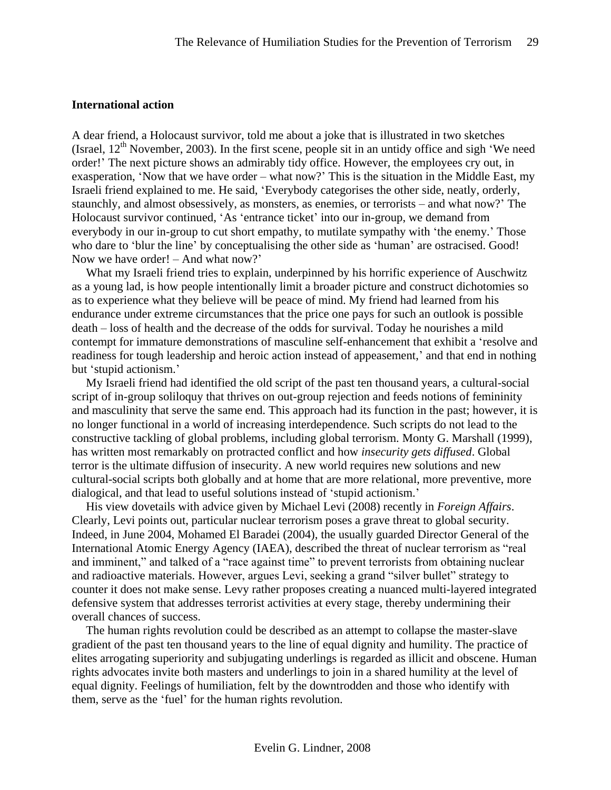#### **International action**

A dear friend, a Holocaust survivor, told me about a joke that is illustrated in two sketches (Israel,  $12<sup>th</sup>$  November, 2003). In the first scene, people sit in an untidy office and sigh 'We need order!' The next picture shows an admirably tidy office. However, the employees cry out, in exasperation, 'Now that we have order – what now?' This is the situation in the Middle East, my Israeli friend explained to me. He said, 'Everybody categorises the other side, neatly, orderly, staunchly, and almost obsessively, as monsters, as enemies, or terrorists – and what now?' The Holocaust survivor continued, 'As 'entrance ticket' into our in-group, we demand from everybody in our in-group to cut short empathy, to mutilate sympathy with 'the enemy.' Those who dare to 'blur the line' by conceptualising the other side as 'human' are ostracised. Good! Now we have order! – And what now?'

What my Israeli friend tries to explain, underpinned by his horrific experience of Auschwitz as a young lad, is how people intentionally limit a broader picture and construct dichotomies so as to experience what they believe will be peace of mind. My friend had learned from his endurance under extreme circumstances that the price one pays for such an outlook is possible death – loss of health and the decrease of the odds for survival. Today he nourishes a mild contempt for immature demonstrations of masculine self-enhancement that exhibit a 'resolve and readiness for tough leadership and heroic action instead of appeasement,' and that end in nothing but 'stupid actionism.'

My Israeli friend had identified the old script of the past ten thousand years, a cultural-social script of in-group soliloquy that thrives on out-group rejection and feeds notions of femininity and masculinity that serve the same end. This approach had its function in the past; however, it is no longer functional in a world of increasing interdependence. Such scripts do not lead to the constructive tackling of global problems, including global terrorism. Monty G. Marshall (1999), has written most remarkably on protracted conflict and how *insecurity gets diffused*. Global terror is the ultimate diffusion of insecurity. A new world requires new solutions and new cultural-social scripts both globally and at home that are more relational, more preventive, more dialogical, and that lead to useful solutions instead of 'stupid actionism.'

His view dovetails with advice given by Michael Levi (2008) recently in *Foreign Affairs*. Clearly, Levi points out, particular nuclear terrorism poses a grave threat to global security. Indeed, in June 2004, Mohamed El Baradei (2004), the usually guarded Director General of the International Atomic Energy Agency (IAEA), described the threat of nuclear terrorism as "real and imminent," and talked of a "race against time" to prevent terrorists from obtaining nuclear and radioactive materials. However, argues Levi, seeking a grand "silver bullet" strategy to counter it does not make sense. Levy rather proposes creating a nuanced multi-layered integrated defensive system that addresses terrorist activities at every stage, thereby undermining their overall chances of success.

The human rights revolution could be described as an attempt to collapse the master-slave gradient of the past ten thousand years to the line of equal dignity and humility. The practice of elites arrogating superiority and subjugating underlings is regarded as illicit and obscene. Human rights advocates invite both masters and underlings to join in a shared humility at the level of equal dignity. Feelings of humiliation, felt by the downtrodden and those who identify with them, serve as the 'fuel' for the human rights revolution.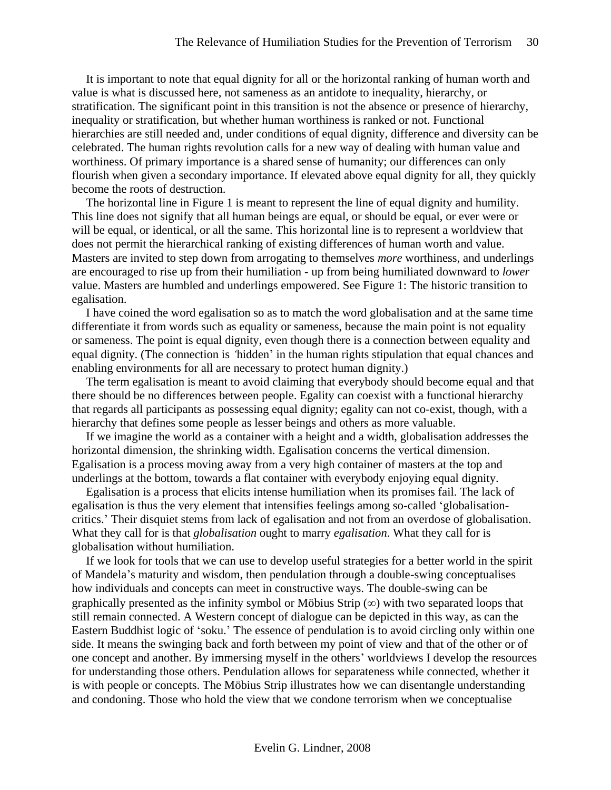It is important to note that equal dignity for all or the horizontal ranking of human worth and value is what is discussed here, not sameness as an antidote to inequality, hierarchy, or stratification. The significant point in this transition is not the absence or presence of hierarchy, inequality or stratification, but whether human worthiness is ranked or not. Functional hierarchies are still needed and, under conditions of equal dignity, difference and diversity can be celebrated. The human rights revolution calls for a new way of dealing with human value and worthiness. Of primary importance is a shared sense of humanity; our differences can only flourish when given a secondary importance. If elevated above equal dignity for all, they quickly become the roots of destruction.

The horizontal line in Figure 1 is meant to represent the line of equal dignity and humility. This line does not signify that all human beings are equal, or should be equal, or ever were or will be equal, or identical, or all the same. This horizontal line is to represent a worldview that does not permit the hierarchical ranking of existing differences of human worth and value. Masters are invited to step down from arrogating to themselves *more* worthiness, and underlings are encouraged to rise up from their humiliation - up from being humiliated downward to *lower* value. Masters are humbled and underlings empowered. See Figure 1: The historic transition to egalisation.

I have coined the word egalisation so as to match the word globalisation and at the same time differentiate it from words such as equality or sameness, because the main point is not equality or sameness. The point is equal dignity, even though there is a connection between equality and equal dignity. (The connection is *'*hidden' in the human rights stipulation that equal chances and enabling environments for all are necessary to protect human dignity.)

The term egalisation is meant to avoid claiming that everybody should become equal and that there should be no differences between people. Egality can coexist with a functional hierarchy that regards all participants as possessing equal dignity; egality can not co-exist, though, with a hierarchy that defines some people as lesser beings and others as more valuable.

If we imagine the world as a container with a height and a width, globalisation addresses the horizontal dimension, the shrinking width. Egalisation concerns the vertical dimension. Egalisation is a process moving away from a very high container of masters at the top and underlings at the bottom, towards a flat container with everybody enjoying equal dignity.

Egalisation is a process that elicits intense humiliation when its promises fail. The lack of egalisation is thus the very element that intensifies feelings among so-called 'globalisationcritics.' Their disquiet stems from lack of egalisation and not from an overdose of globalisation. What they call for is that *globalisation* ought to marry *egalisation*. What they call for is globalisation without humiliation.

If we look for tools that we can use to develop useful strategies for a better world in the spirit of Mandela's maturity and wisdom, then pendulation through a double-swing conceptualises how individuals and concepts can meet in constructive ways. The double-swing can be graphically presented as the infinity symbol or Möbius Strip  $(\infty)$  with two separated loops that still remain connected. A Western concept of dialogue can be depicted in this way, as can the Eastern Buddhist logic of 'soku.' The essence of pendulation is to avoid circling only within one side. It means the swinging back and forth between my point of view and that of the other or of one concept and another. By immersing myself in the others' worldviews I develop the resources for understanding those others. Pendulation allows for separateness while connected, whether it is with people or concepts. The Möbius Strip illustrates how we can disentangle understanding and condoning. Those who hold the view that we condone terrorism when we conceptualise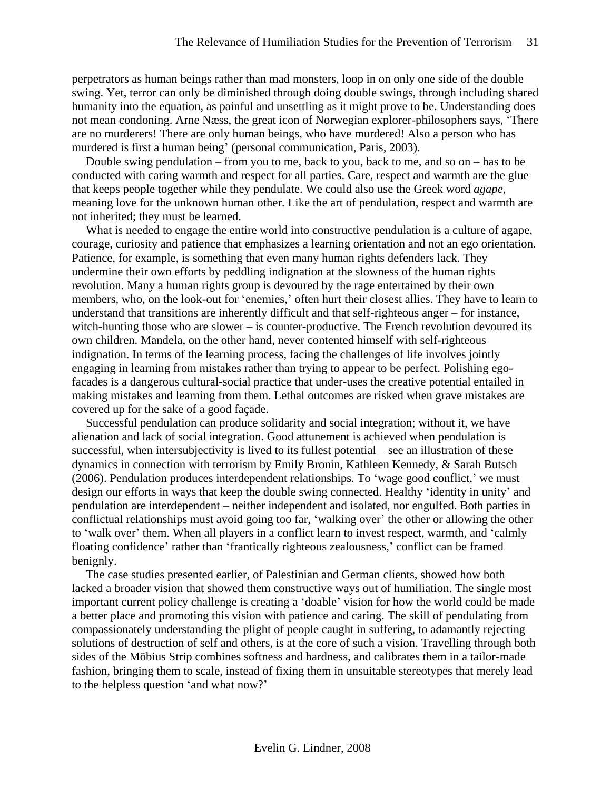perpetrators as human beings rather than mad monsters, loop in on only one side of the double swing. Yet, terror can only be diminished through doing double swings, through including shared humanity into the equation, as painful and unsettling as it might prove to be. Understanding does not mean condoning. Arne Næss, the great icon of Norwegian explorer-philosophers says, 'There are no murderers! There are only human beings, who have murdered! Also a person who has murdered is first a human being' (personal communication, Paris, 2003).

Double swing pendulation – from you to me, back to you, back to me, and so on – has to be conducted with caring warmth and respect for all parties. Care, respect and warmth are the glue that keeps people together while they pendulate. We could also use the Greek word *agape*, meaning love for the unknown human other. Like the art of pendulation, respect and warmth are not inherited; they must be learned.

What is needed to engage the entire world into constructive pendulation is a culture of agape, courage, curiosity and patience that emphasizes a learning orientation and not an ego orientation. Patience, for example, is something that even many human rights defenders lack. They undermine their own efforts by peddling indignation at the slowness of the human rights revolution. Many a human rights group is devoured by the rage entertained by their own members, who, on the look-out for 'enemies,' often hurt their closest allies. They have to learn to understand that transitions are inherently difficult and that self-righteous anger – for instance, witch-hunting those who are slower – is counter-productive. The French revolution devoured its own children. Mandela, on the other hand, never contented himself with self-righteous indignation. In terms of the learning process, facing the challenges of life involves jointly engaging in learning from mistakes rather than trying to appear to be perfect. Polishing egofacades is a dangerous cultural-social practice that under-uses the creative potential entailed in making mistakes and learning from them. Lethal outcomes are risked when grave mistakes are covered up for the sake of a good façade.

Successful pendulation can produce solidarity and social integration; without it, we have alienation and lack of social integration. Good attunement is achieved when pendulation is successful, when intersubjectivity is lived to its fullest potential – see an illustration of these dynamics in connection with terrorism by Emily Bronin, Kathleen Kennedy, & Sarah Butsch (2006). Pendulation produces interdependent relationships. To 'wage good conflict,' we must design our efforts in ways that keep the double swing connected. Healthy 'identity in unity' and pendulation are interdependent – neither independent and isolated, nor engulfed. Both parties in conflictual relationships must avoid going too far, 'walking over' the other or allowing the other to 'walk over' them. When all players in a conflict learn to invest respect, warmth, and 'calmly floating confidence' rather than 'frantically righteous zealousness,' conflict can be framed benignly.

The case studies presented earlier, of Palestinian and German clients, showed how both lacked a broader vision that showed them constructive ways out of humiliation. The single most important current policy challenge is creating a 'doable' vision for how the world could be made a better place and promoting this vision with patience and caring. The skill of pendulating from compassionately understanding the plight of people caught in suffering, to adamantly rejecting solutions of destruction of self and others, is at the core of such a vision. Travelling through both sides of the Möbius Strip combines softness and hardness, and calibrates them in a tailor-made fashion, bringing them to scale, instead of fixing them in unsuitable stereotypes that merely lead to the helpless question 'and what now?'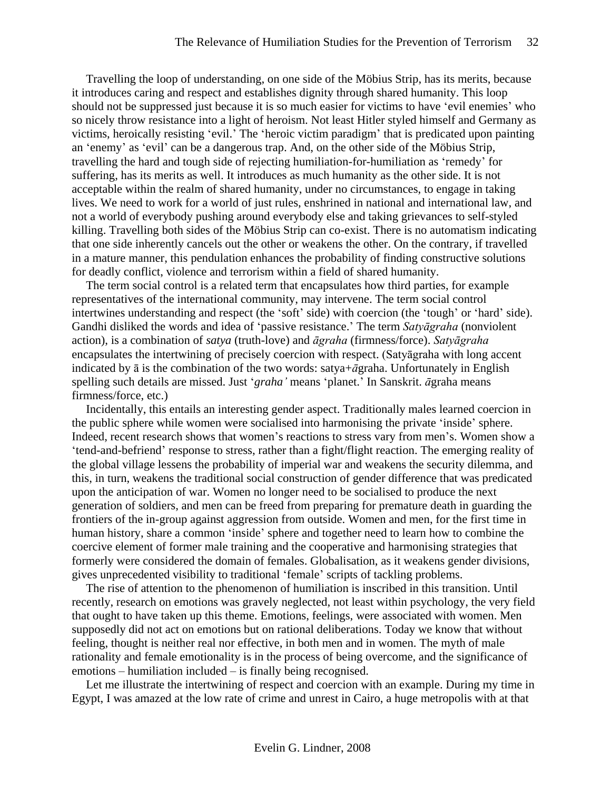Travelling the loop of understanding, on one side of the Möbius Strip, has its merits, because it introduces caring and respect and establishes dignity through shared humanity. This loop should not be suppressed just because it is so much easier for victims to have 'evil enemies' who so nicely throw resistance into a light of heroism. Not least Hitler styled himself and Germany as victims, heroically resisting 'evil.' The 'heroic victim paradigm' that is predicated upon painting an 'enemy' as 'evil' can be a dangerous trap. And, on the other side of the Möbius Strip, travelling the hard and tough side of rejecting humiliation-for-humiliation as 'remedy' for suffering, has its merits as well. It introduces as much humanity as the other side. It is not acceptable within the realm of shared humanity, under no circumstances, to engage in taking lives. We need to work for a world of just rules, enshrined in national and international law, and not a world of everybody pushing around everybody else and taking grievances to self-styled killing. Travelling both sides of the Möbius Strip can co-exist. There is no automatism indicating that one side inherently cancels out the other or weakens the other. On the contrary, if travelled in a mature manner, this pendulation enhances the probability of finding constructive solutions for deadly conflict, violence and terrorism within a field of shared humanity.

The term social control is a related term that encapsulates how third parties, for example representatives of the international community, may intervene. The term social control intertwines understanding and respect (the 'soft' side) with coercion (the 'tough' or 'hard' side). Gandhi disliked the words and idea of 'passive resistance.' The term *Satyāgraha* (nonviolent action), is a combination of *satya* (truth-love) and *āgraha* (firmness/force). *Satyāgraha* encapsulates the intertwining of precisely coercion with respect. (Satyāgraha with long accent indicated by ā is the combination of the two words: satya+*ā*graha. Unfortunately in English spelling such details are missed. Just '*graha'* means 'planet.' In Sanskrit. *ā*graha means firmness/force, etc.)

Incidentally, this entails an interesting gender aspect. Traditionally males learned coercion in the public sphere while women were socialised into harmonising the private 'inside' sphere. Indeed, recent research shows that women's reactions to stress vary from men's. Women show a 'tend-and-befriend' response to stress, rather than a fight/flight reaction. The emerging reality of the global village lessens the probability of imperial war and weakens the security dilemma, and this, in turn, weakens the traditional social construction of gender difference that was predicated upon the anticipation of war. Women no longer need to be socialised to produce the next generation of soldiers, and men can be freed from preparing for premature death in guarding the frontiers of the in-group against aggression from outside. Women and men, for the first time in human history, share a common 'inside' sphere and together need to learn how to combine the coercive element of former male training and the cooperative and harmonising strategies that formerly were considered the domain of females. Globalisation, as it weakens gender divisions, gives unprecedented visibility to traditional 'female' scripts of tackling problems.

The rise of attention to the phenomenon of humiliation is inscribed in this transition. Until recently, research on emotions was gravely neglected, not least within psychology, the very field that ought to have taken up this theme. Emotions, feelings, were associated with women. Men supposedly did not act on emotions but on rational deliberations. Today we know that without feeling, thought is neither real nor effective, in both men and in women. The myth of male rationality and female emotionality is in the process of being overcome, and the significance of emotions – humiliation included – is finally being recognised.

Let me illustrate the intertwining of respect and coercion with an example. During my time in Egypt, I was amazed at the low rate of crime and unrest in Cairo, a huge metropolis with at that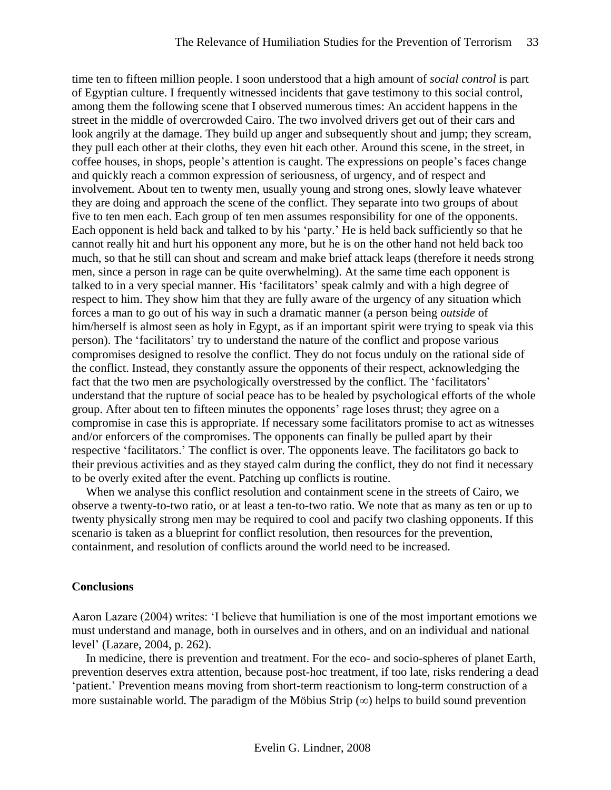time ten to fifteen million people. I soon understood that a high amount of *social control* is part of Egyptian culture. I frequently witnessed incidents that gave testimony to this social control, among them the following scene that I observed numerous times: An accident happens in the street in the middle of overcrowded Cairo. The two involved drivers get out of their cars and look angrily at the damage. They build up anger and subsequently shout and jump; they scream, they pull each other at their cloths, they even hit each other. Around this scene, in the street, in coffee houses, in shops, people's attention is caught. The expressions on people's faces change and quickly reach a common expression of seriousness, of urgency, and of respect and involvement. About ten to twenty men, usually young and strong ones, slowly leave whatever they are doing and approach the scene of the conflict. They separate into two groups of about five to ten men each. Each group of ten men assumes responsibility for one of the opponents. Each opponent is held back and talked to by his 'party.' He is held back sufficiently so that he cannot really hit and hurt his opponent any more, but he is on the other hand not held back too much, so that he still can shout and scream and make brief attack leaps (therefore it needs strong men, since a person in rage can be quite overwhelming). At the same time each opponent is talked to in a very special manner. His 'facilitators' speak calmly and with a high degree of respect to him. They show him that they are fully aware of the urgency of any situation which forces a man to go out of his way in such a dramatic manner (a person being *outside* of him/herself is almost seen as holy in Egypt, as if an important spirit were trying to speak via this person). The 'facilitators' try to understand the nature of the conflict and propose various compromises designed to resolve the conflict. They do not focus unduly on the rational side of the conflict. Instead, they constantly assure the opponents of their respect, acknowledging the fact that the two men are psychologically overstressed by the conflict. The 'facilitators' understand that the rupture of social peace has to be healed by psychological efforts of the whole group. After about ten to fifteen minutes the opponents' rage loses thrust; they agree on a compromise in case this is appropriate. If necessary some facilitators promise to act as witnesses and/or enforcers of the compromises. The opponents can finally be pulled apart by their respective 'facilitators.' The conflict is over. The opponents leave. The facilitators go back to their previous activities and as they stayed calm during the conflict, they do not find it necessary to be overly exited after the event. Patching up conflicts is routine.

When we analyse this conflict resolution and containment scene in the streets of Cairo, we observe a twenty-to-two ratio, or at least a ten-to-two ratio. We note that as many as ten or up to twenty physically strong men may be required to cool and pacify two clashing opponents. If this scenario is taken as a blueprint for conflict resolution, then resources for the prevention, containment, and resolution of conflicts around the world need to be increased.

## <span id="page-32-0"></span>**Conclusions**

Aaron Lazare (2004) writes: 'I believe that humiliation is one of the most important emotions we must understand and manage, both in ourselves and in others, and on an individual and national level' (Lazare, 2004, p. 262).

In medicine, there is prevention and treatment. For the eco- and socio-spheres of planet Earth, prevention deserves extra attention, because post-hoc treatment, if too late, risks rendering a dead 'patient.' Prevention means moving from short-term reactionism to long-term construction of a more sustainable world. The paradigm of the Möbius Strip  $(\infty)$  helps to build sound prevention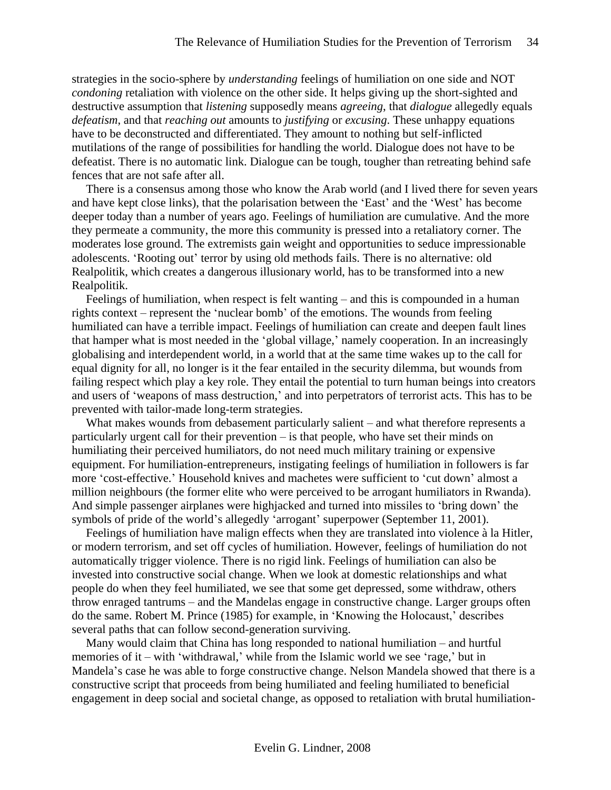strategies in the socio-sphere by *understanding* feelings of humiliation on one side and NOT *condoning* retaliation with violence on the other side. It helps giving up the short-sighted and destructive assumption that *listening* supposedly means *agreeing*, that *dialogue* allegedly equals *defeatism*, and that *reaching out* amounts to *justifying* or *excusing*. These unhappy equations have to be deconstructed and differentiated. They amount to nothing but self-inflicted mutilations of the range of possibilities for handling the world. Dialogue does not have to be defeatist. There is no automatic link. Dialogue can be tough, tougher than retreating behind safe fences that are not safe after all.

There is a consensus among those who know the Arab world (and I lived there for seven years and have kept close links), that the polarisation between the 'East' and the 'West' has become deeper today than a number of years ago. Feelings of humiliation are cumulative. And the more they permeate a community, the more this community is pressed into a retaliatory corner. The moderates lose ground. The extremists gain weight and opportunities to seduce impressionable adolescents. 'Rooting out' terror by using old methods fails. There is no alternative: old Realpolitik, which creates a dangerous illusionary world, has to be transformed into a new Realpolitik.

Feelings of humiliation, when respect is felt wanting – and this is compounded in a human rights context – represent the 'nuclear bomb' of the emotions. The wounds from feeling humiliated can have a terrible impact. Feelings of humiliation can create and deepen fault lines that hamper what is most needed in the 'global village,' namely cooperation. In an increasingly globalising and interdependent world, in a world that at the same time wakes up to the call for equal dignity for all, no longer is it the fear entailed in the security dilemma, but wounds from failing respect which play a key role. They entail the potential to turn human beings into creators and users of 'weapons of mass destruction,' and into perpetrators of terrorist acts. This has to be prevented with tailor-made long-term strategies.

What makes wounds from debasement particularly salient – and what therefore represents a particularly urgent call for their prevention – is that people, who have set their minds on humiliating their perceived humiliators, do not need much military training or expensive equipment. For humiliation-entrepreneurs, instigating feelings of humiliation in followers is far more 'cost-effective.' Household knives and machetes were sufficient to 'cut down' almost a million neighbours (the former elite who were perceived to be arrogant humiliators in Rwanda). And simple passenger airplanes were highjacked and turned into missiles to 'bring down' the symbols of pride of the world's allegedly 'arrogant' superpower (September 11, 2001).

Feelings of humiliation have malign effects when they are translated into violence à la Hitler, or modern terrorism, and set off cycles of humiliation. However, feelings of humiliation do not automatically trigger violence. There is no rigid link. Feelings of humiliation can also be invested into constructive social change. When we look at domestic relationships and what people do when they feel humiliated, we see that some get depressed, some withdraw, others throw enraged tantrums – and the Mandelas engage in constructive change. Larger groups often do the same. Robert M. Prince (1985) for example, in 'Knowing the Holocaust,' describes several paths that can follow second-generation surviving.

Many would claim that China has long responded to national humiliation – and hurtful memories of it – with 'withdrawal,' while from the Islamic world we see 'rage,' but in Mandela's case he was able to forge constructive change. Nelson Mandela showed that there is a constructive script that proceeds from being humiliated and feeling humiliated to beneficial engagement in deep social and societal change, as opposed to retaliation with brutal humiliation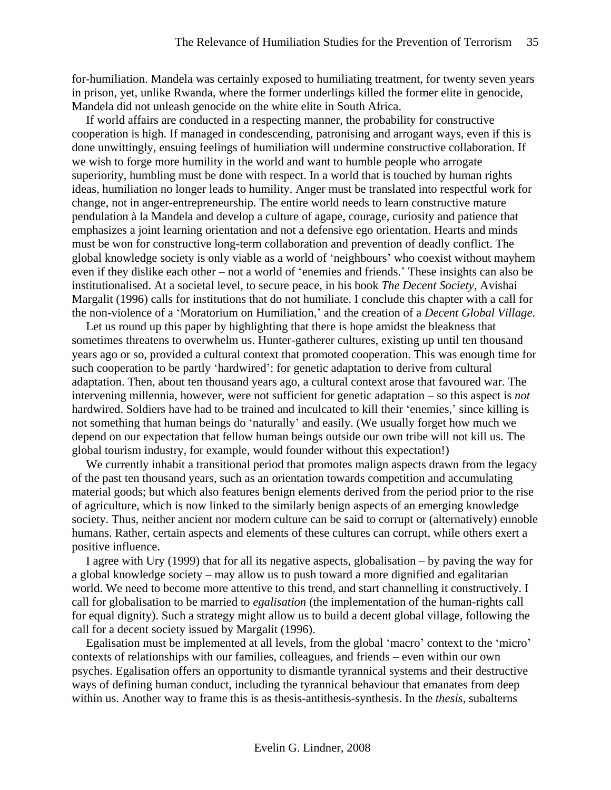for-humiliation. Mandela was certainly exposed to humiliating treatment, for twenty seven years in prison, yet, unlike Rwanda, where the former underlings killed the former elite in genocide, Mandela did not unleash genocide on the white elite in South Africa.

If world affairs are conducted in a respecting manner, the probability for constructive cooperation is high. If managed in condescending, patronising and arrogant ways, even if this is done unwittingly, ensuing feelings of humiliation will undermine constructive collaboration. If we wish to forge more humility in the world and want to humble people who arrogate superiority, humbling must be done with respect. In a world that is touched by human rights ideas, humiliation no longer leads to humility. Anger must be translated into respectful work for change, not in anger-entrepreneurship. The entire world needs to learn constructive mature pendulation à la Mandela and develop a culture of agape, courage, curiosity and patience that emphasizes a joint learning orientation and not a defensive ego orientation. Hearts and minds must be won for constructive long-term collaboration and prevention of deadly conflict. The global knowledge society is only viable as a world of 'neighbours' who coexist without mayhem even if they dislike each other – not a world of 'enemies and friends.' These insights can also be institutionalised. At a societal level, to secure peace, in his book *The Decent Society*, Avishai Margalit (1996) calls for institutions that do not humiliate. I conclude this chapter with a call for the non-violence of a 'Moratorium on Humiliation,' and the creation of a *Decent Global Village*.

Let us round up this paper by highlighting that there is hope amidst the bleakness that sometimes threatens to overwhelm us. Hunter-gatherer cultures, existing up until ten thousand years ago or so, provided a cultural context that promoted cooperation. This was enough time for such cooperation to be partly 'hardwired': for genetic adaptation to derive from cultural adaptation. Then, about ten thousand years ago, a cultural context arose that favoured war. The intervening millennia, however, were not sufficient for genetic adaptation – so this aspect is *not* hardwired. Soldiers have had to be trained and inculcated to kill their 'enemies,' since killing is not something that human beings do 'naturally' and easily. (We usually forget how much we depend on our expectation that fellow human beings outside our own tribe will not kill us. The global tourism industry, for example, would founder without this expectation!)

We currently inhabit a transitional period that promotes malign aspects drawn from the legacy of the past ten thousand years, such as an orientation towards competition and accumulating material goods; but which also features benign elements derived from the period prior to the rise of agriculture, which is now linked to the similarly benign aspects of an emerging knowledge society. Thus, neither ancient nor modern culture can be said to corrupt or (alternatively) ennoble humans. Rather, certain aspects and elements of these cultures can corrupt, while others exert a positive influence.

I agree with Ury (1999) that for all its negative aspects, globalisation – by paving the way for a global knowledge society – may allow us to push toward a more dignified and egalitarian world. We need to become more attentive to this trend, and start channelling it constructively. I call for globalisation to be married to *egalisation* (the implementation of the human-rights call for equal dignity). Such a strategy might allow us to build a decent global village, following the call for a decent society issued by Margalit (1996).

Egalisation must be implemented at all levels, from the global 'macro' context to the 'micro' contexts of relationships with our families, colleagues, and friends – even within our own psyches. Egalisation offers an opportunity to dismantle tyrannical systems and their destructive ways of defining human conduct, including the tyrannical behaviour that emanates from deep within us. Another way to frame this is as thesis-antithesis-synthesis. In the *thesis*, subalterns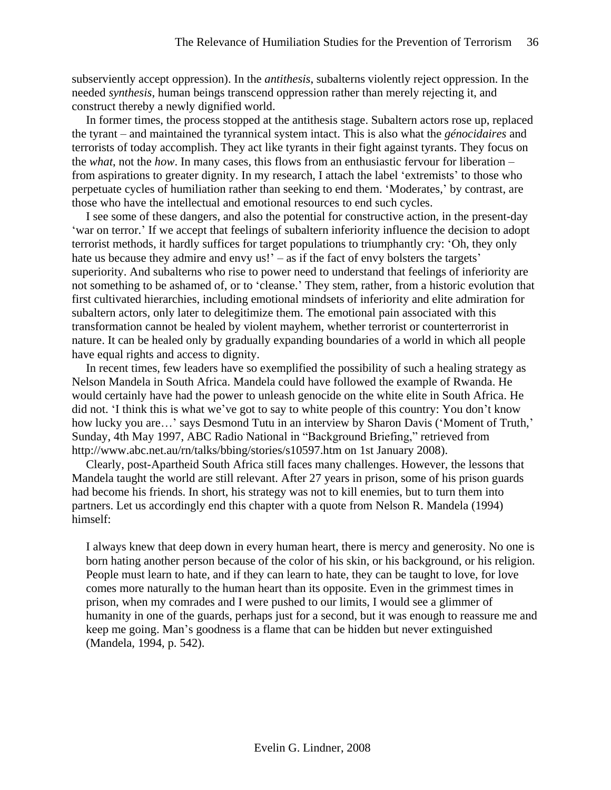subserviently accept oppression). In the *antithesis*, subalterns violently reject oppression. In the needed *synthesis*, human beings transcend oppression rather than merely rejecting it, and construct thereby a newly dignified world.

In former times, the process stopped at the antithesis stage. Subaltern actors rose up, replaced the tyrant – and maintained the tyrannical system intact. This is also what the *génocidaires* and terrorists of today accomplish. They act like tyrants in their fight against tyrants. They focus on the *what*, not the *how*. In many cases, this flows from an enthusiastic fervour for liberation – from aspirations to greater dignity. In my research, I attach the label 'extremists' to those who perpetuate cycles of humiliation rather than seeking to end them. 'Moderates,' by contrast, are those who have the intellectual and emotional resources to end such cycles.

I see some of these dangers, and also the potential for constructive action, in the present-day 'war on terror.' If we accept that feelings of subaltern inferiority influence the decision to adopt terrorist methods, it hardly suffices for target populations to triumphantly cry: 'Oh, they only hate us because they admire and envy us!' – as if the fact of envy bolsters the targets' superiority. And subalterns who rise to power need to understand that feelings of inferiority are not something to be ashamed of, or to 'cleanse.' They stem, rather, from a historic evolution that first cultivated hierarchies, including emotional mindsets of inferiority and elite admiration for subaltern actors, only later to delegitimize them. The emotional pain associated with this transformation cannot be healed by violent mayhem, whether terrorist or counterterrorist in nature. It can be healed only by gradually expanding boundaries of a world in which all people have equal rights and access to dignity.

In recent times, few leaders have so exemplified the possibility of such a healing strategy as Nelson Mandela in South Africa. Mandela could have followed the example of Rwanda. He would certainly have had the power to unleash genocide on the white elite in South Africa. He did not. 'I think this is what we've got to say to white people of this country: You don't know how lucky you are…' says Desmond Tutu in an interview by Sharon Davis ('Moment of Truth,' Sunday, 4th May 1997, ABC Radio National in "Background Briefing," retrieved from [http://www.abc.net.au/rn/talks/bbing/stories/s10597.htm on 1st January 2008\)](http://www.abc.net.au/rn/talks/bbing/stories/s10597.htm%20on%201st%20January%202008).

Clearly, post-Apartheid South Africa still faces many challenges. However, the lessons that Mandela taught the world are still relevant. After 27 years in prison, some of his prison guards had become his friends. In short, his strategy was not to kill enemies, but to turn them into partners. Let us accordingly end this chapter with a quote from Nelson R. Mandela (1994) himself:

I always knew that deep down in every human heart, there is mercy and generosity. No one is born hating another person because of the color of his skin, or his background, or his religion. People must learn to hate, and if they can learn to hate, they can be taught to love, for love comes more naturally to the human heart than its opposite. Even in the grimmest times in prison, when my comrades and I were pushed to our limits, I would see a glimmer of humanity in one of the guards, perhaps just for a second, but it was enough to reassure me and keep me going. Man's goodness is a flame that can be hidden but never extinguished (Mandela, 1994, p. 542).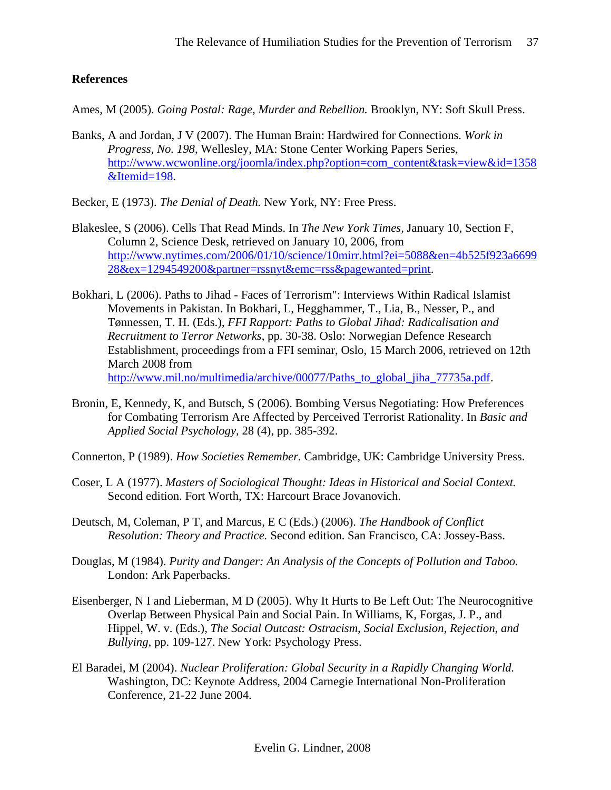# <span id="page-36-0"></span>**References**

Ames, M (2005). *Going Postal: Rage, Murder and Rebellion.* Brooklyn, NY: Soft Skull Press.

- Banks, A and Jordan, J V (2007). The Human Brain: Hardwired for Connections. *Work in Progress, No. 198*, Wellesley, MA: Stone Center Working Papers Series, [http://www.wcwonline.org/joomla/index.php?option=com\\_content&task=view&id=1358](http://www.wcwonline.org/joomla/index.php?option=com_content&task=view&id=1358&Itemid=198) [&Itemid=198.](http://www.wcwonline.org/joomla/index.php?option=com_content&task=view&id=1358&Itemid=198)
- Becker, E (1973). *The Denial of Death.* New York, NY: Free Press.
- Blakeslee, S (2006). Cells That Read Minds. In *The New York Times,* January 10, Section F, Column 2, Science Desk, retrieved on January 10, 2006, from [http://www.nytimes.com/2006/01/10/science/10mirr.html?ei=5088&en=4b525f923a6699](http://www.nytimes.com/2006/01/10/science/10mirr.html?ei=5088&en=4b525f923a669928&ex=1294549200&partner=rssnyt&emc=rss&pagewanted=print) [28&ex=1294549200&partner=rssnyt&emc=rss&pagewanted=print.](http://www.nytimes.com/2006/01/10/science/10mirr.html?ei=5088&en=4b525f923a669928&ex=1294549200&partner=rssnyt&emc=rss&pagewanted=print)
- Bokhari, L (2006). Paths to Jihad Faces of Terrorism": Interviews Within Radical Islamist Movements in Pakistan. In Bokhari, L, Hegghammer, T., Lia, B., Nesser, P., and Tønnessen, T. H. (Eds.), *FFI Rapport: Paths to Global Jihad: Radicalisation and Recruitment to Terror Networks*, pp. 30-38. Oslo: Norwegian Defence Research Establishment, proceedings from a FFI seminar, Oslo, 15 March 2006, retrieved on 12th March 2008 from [http://www.mil.no/multimedia/archive/00077/Paths\\_to\\_global\\_jiha\\_77735a.pdf.](http://www.mil.no/multimedia/archive/00077/Paths_to_global_jiha_77735a.pdf)
- Bronin, E, Kennedy, K, and Butsch, S (2006). Bombing Versus Negotiating: How Preferences for Combating Terrorism Are Affected by Perceived Terrorist Rationality. In *Basic and Applied Social Psychology,* 28 (4), pp. 385-392.
- Connerton, P (1989). *How Societies Remember.* Cambridge, UK: Cambridge University Press.
- Coser, L A (1977). *Masters of Sociological Thought: Ideas in Historical and Social Context.*  Second edition. Fort Worth, TX: Harcourt Brace Jovanovich.
- Deutsch, M, Coleman, P T, and Marcus, E C (Eds.) (2006). *The Handbook of Conflict Resolution: Theory and Practice.* Second edition. San Francisco, CA: Jossey-Bass.
- Douglas, M (1984). *Purity and Danger: An Analysis of the Concepts of Pollution and Taboo.*  London: Ark Paperbacks.
- Eisenberger, N I and Lieberman, M D (2005). Why It Hurts to Be Left Out: The Neurocognitive Overlap Between Physical Pain and Social Pain. In Williams, K, Forgas, J. P., and Hippel, W. v. (Eds.), *The Social Outcast: Ostracism, Social Exclusion, Rejection, and Bullying*, pp. 109-127. New York: Psychology Press.
- El Baradei, M (2004). *Nuclear Proliferation: Global Security in a Rapidly Changing World.*  Washington, DC: Keynote Address, 2004 Carnegie International Non-Proliferation Conference, 21-22 June 2004.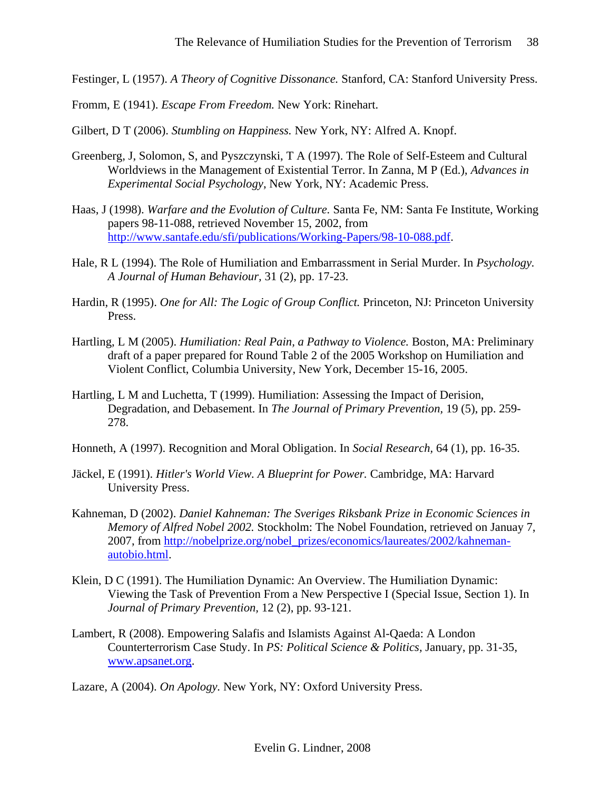Festinger, L (1957). *A Theory of Cognitive Dissonance.* Stanford, CA: Stanford University Press.

Fromm, E (1941). *Escape From Freedom.* New York: Rinehart.

Gilbert, D T (2006). *Stumbling on Happiness.* New York, NY: Alfred A. Knopf.

- Greenberg, J, Solomon, S, and Pyszczynski, T A (1997). The Role of Self-Esteem and Cultural Worldviews in the Management of Existential Terror. In Zanna, M P (Ed.), *Advances in Experimental Social Psychology*, New York, NY: Academic Press.
- Haas, J (1998). *Warfare and the Evolution of Culture.* Santa Fe, NM: Santa Fe Institute, Working papers 98-11-088, retrieved November 15, 2002, from [http://www.santafe.edu/sfi/publications/Working-Papers/98-10-088.pdf.](http://www.santafe.edu/sfi/publications/Working-Papers/98-10-088.pdf)
- Hale, R L (1994). The Role of Humiliation and Embarrassment in Serial Murder. In *Psychology. A Journal of Human Behaviour,* 31 (2), pp. 17-23.
- Hardin, R (1995). *One for All: The Logic of Group Conflict.* Princeton, NJ: Princeton University Press.
- Hartling, L M (2005). *Humiliation: Real Pain, a Pathway to Violence.* Boston, MA: Preliminary draft of a paper prepared for Round Table 2 of the 2005 Workshop on Humiliation and Violent Conflict, Columbia University, New York, December 15-16, 2005.
- Hartling, L M and Luchetta, T (1999). Humiliation: Assessing the Impact of Derision, Degradation, and Debasement. In *The Journal of Primary Prevention,* 19 (5), pp. 259- 278.
- Honneth, A (1997). Recognition and Moral Obligation. In *Social Research,* 64 (1), pp. 16-35.
- Jäckel, E (1991). *Hitler's World View. A Blueprint for Power.* Cambridge, MA: Harvard University Press.
- Kahneman, D (2002). *Daniel Kahneman: The Sveriges Riksbank Prize in Economic Sciences in Memory of Alfred Nobel 2002.* Stockholm: The Nobel Foundation, retrieved on Januay 7, 2007, from [http://nobelprize.org/nobel\\_prizes/economics/laureates/2002/kahneman](http://nobelprize.org/nobel_prizes/economics/laureates/2002/kahneman-autobio.html)[autobio.html.](http://nobelprize.org/nobel_prizes/economics/laureates/2002/kahneman-autobio.html)
- Klein, D C (1991). The Humiliation Dynamic: An Overview. The Humiliation Dynamic: Viewing the Task of Prevention From a New Perspective I (Special Issue, Section 1). In *Journal of Primary Prevention,* 12 (2), pp. 93-121.
- Lambert, R (2008). Empowering Salafis and Islamists Against Al-Qaeda: A London Counterterrorism Case Study. In *PS: Political Science & Politics,* January, pp. 31-35, [www.apsanet.org.](http://www.apsanet.org/)

Lazare, A (2004). *On Apology.* New York, NY: Oxford University Press.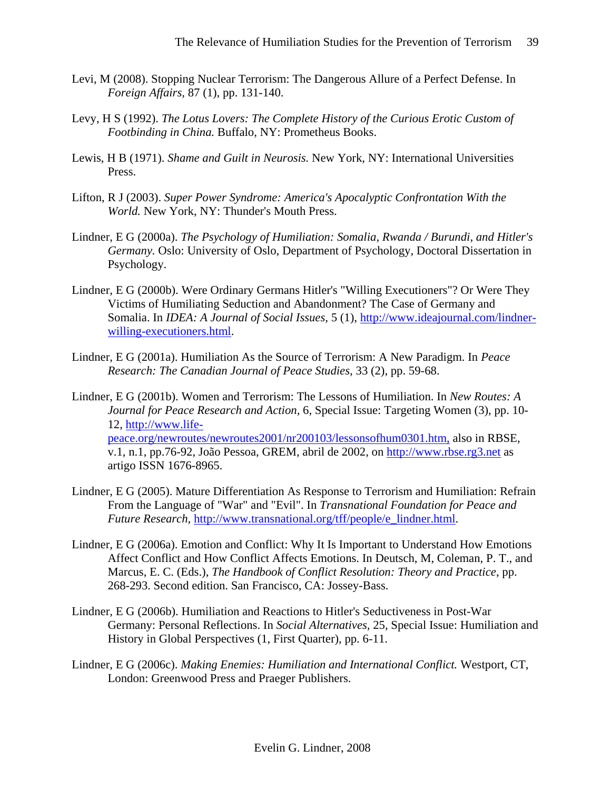- Levi, M (2008). Stopping Nuclear Terrorism: The Dangerous Allure of a Perfect Defense. In *Foreign Affairs,* 87 (1), pp. 131-140.
- Levy, H S (1992). *The Lotus Lovers: The Complete History of the Curious Erotic Custom of Footbinding in China.* Buffalo, NY: Prometheus Books.
- Lewis, H B (1971). *Shame and Guilt in Neurosis.* New York, NY: International Universities Press.
- Lifton, R J (2003). *Super Power Syndrome: America's Apocalyptic Confrontation With the World.* New York, NY: Thunder's Mouth Press.
- Lindner, E G (2000a). *The Psychology of Humiliation: Somalia, Rwanda / Burundi, and Hitler's Germany.* Oslo: University of Oslo, Department of Psychology, Doctoral Dissertation in Psychology.
- Lindner, E G (2000b). Were Ordinary Germans Hitler's "Willing Executioners"? Or Were They Victims of Humiliating Seduction and Abandonment? The Case of Germany and Somalia. In *IDEA: A Journal of Social Issues,* 5 (1), [http://www.ideajournal.com/lindner](http://www.ideajournal.com/lindner-willing-executioners.html)[willing-executioners.html.](http://www.ideajournal.com/lindner-willing-executioners.html)
- Lindner, E G (2001a). Humiliation As the Source of Terrorism: A New Paradigm. In *Peace Research: The Canadian Journal of Peace Studies,* 33 (2), pp. 59-68.

Lindner, E G (2001b). Women and Terrorism: The Lessons of Humiliation. In *New Routes: A Journal for Peace Research and Action,* 6, Special Issue: Targeting Women (3), pp. 10- 12, [http://www.life](http://www.life-peace.org/newroutes/newroutes2001/nr200103/lessonsofhum0301.htm,)[peace.org/newroutes/newroutes2001/nr200103/lessonsofhum0301.htm,](http://www.life-peace.org/newroutes/newroutes2001/nr200103/lessonsofhum0301.htm,) also in RBSE, v.1, n.1, pp.76-92, João Pessoa, GREM, abril de 2002, on [http://www.rbse.rg3.net](http://www.rbse.rg3.net/) as artigo ISSN 1676-8965.

- Lindner, E G (2005). Mature Differentiation As Response to Terrorism and Humiliation: Refrain From the Language of "War" and "Evil". In *Transnational Foundation for Peace and Future Research, [http://www.transnational.org/tff/people/e\\_lindner.html.](http://www.transnational.org/tff/people/e_lindner.html)*
- Lindner, E G (2006a). Emotion and Conflict: Why It Is Important to Understand How Emotions Affect Conflict and How Conflict Affects Emotions. In Deutsch, M, Coleman, P. T., and Marcus, E. C. (Eds.), *The Handbook of Conflict Resolution: Theory and Practice*, pp. 268-293. Second edition. San Francisco, CA: Jossey-Bass.
- Lindner, E G (2006b). Humiliation and Reactions to Hitler's Seductiveness in Post-War Germany: Personal Reflections. In *Social Alternatives,* 25, Special Issue: Humiliation and History in Global Perspectives (1, First Quarter), pp. 6-11.
- Lindner, E G (2006c). *Making Enemies: Humiliation and International Conflict.* Westport, CT, London: Greenwood Press and Praeger Publishers.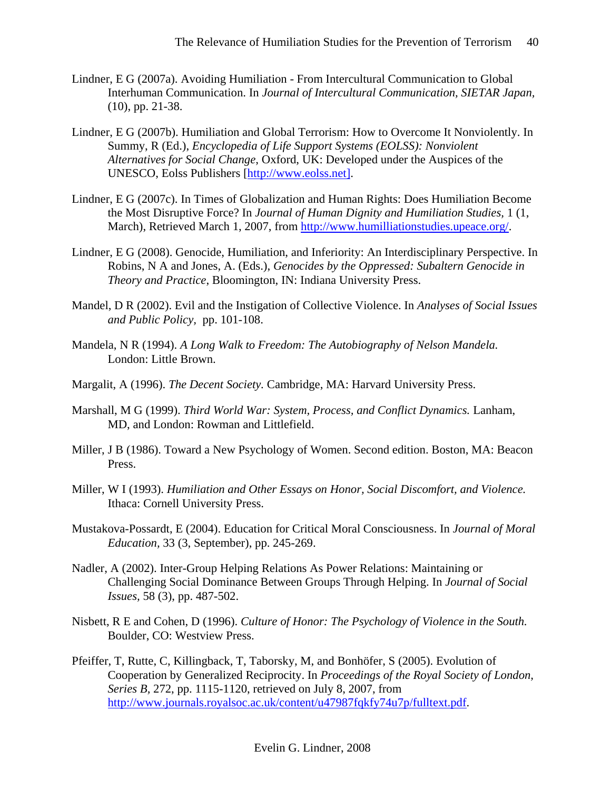- Lindner, E G (2007a). Avoiding Humiliation From Intercultural Communication to Global Interhuman Communication. In *Journal of Intercultural Communication, SIETAR Japan,*  (10), pp. 21-38.
- Lindner, E G (2007b). Humiliation and Global Terrorism: How to Overcome It Nonviolently. In Summy, R (Ed.), *Encyclopedia of Life Support Systems (EOLSS): Nonviolent Alternatives for Social Change*, Oxford, UK: Developed under the Auspices of the UNESCO, Eolss Publishers [\[http://www.eolss.net\].](http://www.eolss.net]/)
- Lindner, E G (2007c). In Times of Globalization and Human Rights: Does Humiliation Become the Most Disruptive Force? In *Journal of Human Dignity and Humiliation Studies,* 1 (1, March), Retrieved March 1, 2007, from [http://www.humilliationstudies.upeace.org/.](http://www.humilliationstudies.upeace.org/)
- Lindner, E G (2008). Genocide, Humiliation, and Inferiority: An Interdisciplinary Perspective. In Robins, N A and Jones, A. (Eds.), *Genocides by the Oppressed: Subaltern Genocide in Theory and Practice*, Bloomington, IN: Indiana University Press.
- Mandel, D R (2002). Evil and the Instigation of Collective Violence. In *Analyses of Social Issues and Public Policy,* pp. 101-108.
- Mandela, N R (1994). *A Long Walk to Freedom: The Autobiography of Nelson Mandela.*  London: Little Brown.
- Margalit, A (1996). *The Decent Society.* Cambridge, MA: Harvard University Press.
- Marshall, M G (1999). *Third World War: System, Process, and Conflict Dynamics.* Lanham, MD, and London: Rowman and Littlefield.
- Miller, J B (1986). Toward a New Psychology of Women. Second edition. Boston, MA: Beacon Press.
- Miller, W I (1993). *Humiliation and Other Essays on Honor, Social Discomfort, and Violence.*  Ithaca: Cornell University Press.
- Mustakova-Possardt, E (2004). Education for Critical Moral Consciousness. In *Journal of Moral Education,* 33 (3, September), pp. 245-269.
- Nadler, A (2002). Inter-Group Helping Relations As Power Relations: Maintaining or Challenging Social Dominance Between Groups Through Helping. In *Journal of Social Issues,* 58 (3), pp. 487-502.
- Nisbett, R E and Cohen, D (1996). *Culture of Honor: The Psychology of Violence in the South.*  Boulder, CO: Westview Press.
- Pfeiffer, T, Rutte, C, Killingback, T, Taborsky, M, and Bonhöfer, S (2005). Evolution of Cooperation by Generalized Reciprocity. In *Proceedings of the Royal Society of London, Series B,* 272, pp. 1115-1120, retrieved on July 8, 2007, from [http://www.journals.royalsoc.ac.uk/content/u47987fqkfy74u7p/fulltext.pdf.](http://www.journals.royalsoc.ac.uk/content/u47987fqkfy74u7p/fulltext.pdf)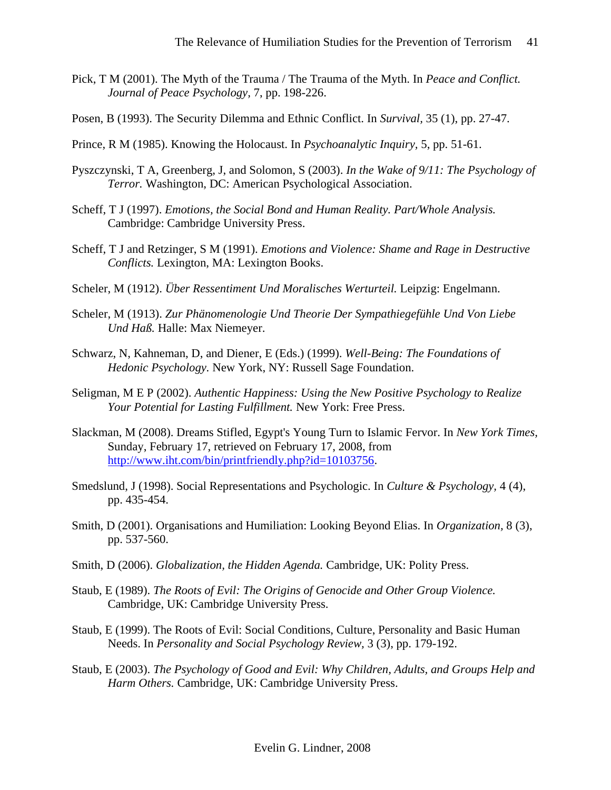- Pick, T M (2001). The Myth of the Trauma / The Trauma of the Myth. In *Peace and Conflict. Journal of Peace Psychology,* 7, pp. 198-226.
- Posen, B (1993). The Security Dilemma and Ethnic Conflict. In *Survival,* 35 (1), pp. 27-47.
- Prince, R M (1985). Knowing the Holocaust. In *Psychoanalytic Inquiry,* 5, pp. 51-61.
- Pyszczynski, T A, Greenberg, J, and Solomon, S (2003). *In the Wake of 9/11: The Psychology of Terror.* Washington, DC: American Psychological Association.
- Scheff, T J (1997). *Emotions, the Social Bond and Human Reality. Part/Whole Analysis.*  Cambridge: Cambridge University Press.
- Scheff, T J and Retzinger, S M (1991). *Emotions and Violence: Shame and Rage in Destructive Conflicts.* Lexington, MA: Lexington Books.
- Scheler, M (1912). *Über Ressentiment Und Moralisches Werturteil.* Leipzig: Engelmann.
- Scheler, M (1913). *Zur Phänomenologie Und Theorie Der Sympathiegefühle Und Von Liebe Und Haß.* Halle: Max Niemeyer.
- Schwarz, N, Kahneman, D, and Diener, E (Eds.) (1999). *Well-Being: The Foundations of Hedonic Psychology.* New York, NY: Russell Sage Foundation.
- Seligman, M E P (2002). *Authentic Happiness: Using the New Positive Psychology to Realize Your Potential for Lasting Fulfillment.* New York: Free Press.
- Slackman, M (2008). Dreams Stifled, Egypt's Young Turn to Islamic Fervor. In *New York Times,*  Sunday, February 17, retrieved on February 17, 2008, from [http://www.iht.com/bin/printfriendly.php?id=10103756.](http://www.iht.com/bin/printfriendly.php?id=10103756)
- Smedslund, J (1998). Social Representations and Psychologic. In *Culture & Psychology,* 4 (4), pp. 435-454.
- Smith, D (2001). Organisations and Humiliation: Looking Beyond Elias. In *Organization,* 8 (3), pp. 537-560.
- Smith, D (2006). *Globalization, the Hidden Agenda.* Cambridge, UK: Polity Press.
- Staub, E (1989). *The Roots of Evil: The Origins of Genocide and Other Group Violence.*  Cambridge, UK: Cambridge University Press.
- Staub, E (1999). The Roots of Evil: Social Conditions, Culture, Personality and Basic Human Needs. In *Personality and Social Psychology Review,* 3 (3), pp. 179-192.
- Staub, E (2003). *The Psychology of Good and Evil: Why Children, Adults, and Groups Help and Harm Others.* Cambridge, UK: Cambridge University Press.